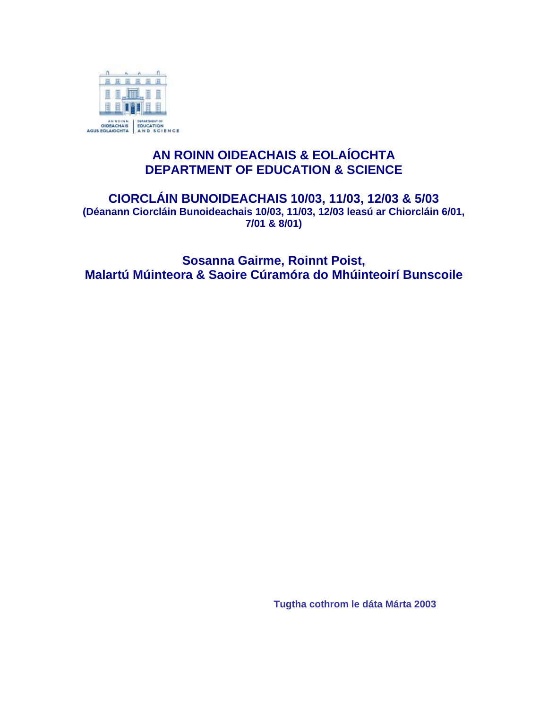

### **AN ROINN OIDEACHAIS & EOLAÍOCHTA DEPARTMENT OF EDUCATION & SCIENCE**

#### **CIORCLÁIN BUNOIDEACHAIS 10/03, 11/03, 12/03 & 5/03 (Déanann Ciorcláin Bunoideachais 10/03, 11/03, 12/03 leasú ar Chiorcláin 6/01, 7/01 & 8/01)**

**Sosanna Gairme, Roinnt Poist, Malartú Múinteora & Saoire Cúramóra do Mhúinteoirí Bunscoile** 

**Tugtha cothrom le dáta Márta 2003**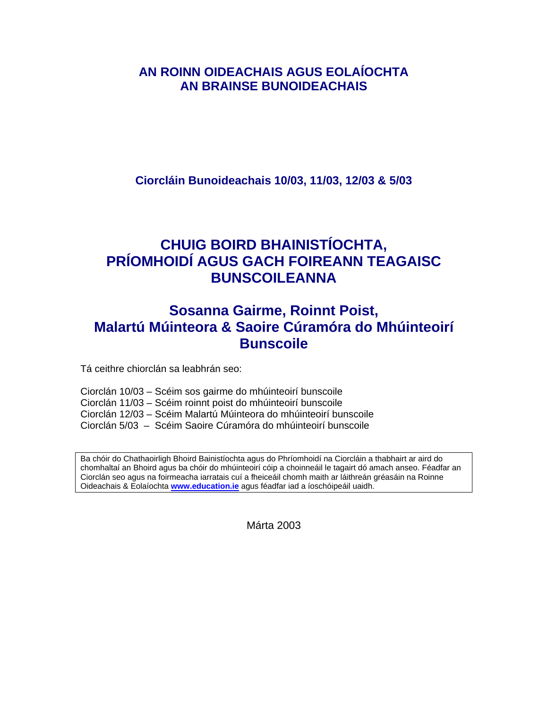### **AN ROINN OIDEACHAIS AGUS EOLAÍOCHTA AN BRAINSE BUNOIDEACHAIS**

**Ciorcláin Bunoideachais 10/03, 11/03, 12/03 & 5/03** 

### **CHUIG BOIRD BHAINISTÍOCHTA, PRÍOMHOIDÍ AGUS GACH FOIREANN TEAGAISC BUNSCOILEANNA**

### **Sosanna Gairme, Roinnt Poist, Malartú Múinteora & Saoire Cúramóra do Mhúinteoirí Bunscoile**

Tá ceithre chiorclán sa leabhrán seo:

Ciorclán 10/03 – Scéim sos gairme do mhúinteoirí bunscoile Ciorclán 11/03 – Scéim roinnt poist do mhúinteoirí bunscoile Ciorclán 12/03 – Scéim Malartú Múinteora do mhúinteoirí bunscoile Ciorclán 5/03 – Scéim Saoire Cúramóra do mhúinteoirí bunscoile

Ba chóir do Chathaoirligh Bhoird Bainistíochta agus do Phríomhoidí na Ciorcláin a thabhairt ar aird do chomhaltaí an Bhoird agus ba chóir do mhúinteoirí cóip a choinneáil le tagairt dó amach anseo. Féadfar an Ciorclán seo agus na foirmeacha iarratais cuí a fheiceáil chomh maith ar láithreán gréasáin na Roinne Oideachais & Eolaíochta **[www.education.ie](http://www.education.ie/)** agus féadfar iad a íoschóipeáil uaidh.

Márta 2003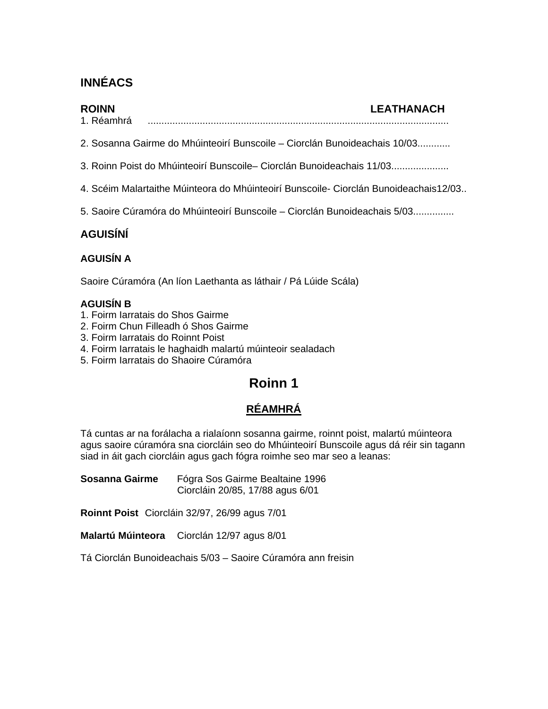### **INNÉACS**

#### **ROINN LEATHANACH**

- 1. Réamhrá ..............................................................................................................
- 2. Sosanna Gairme do Mhúinteoirí Bunscoile Ciorclán Bunoideachais 10/03............
- 3. Roinn Poist do Mhúinteoirí Bunscoile– Ciorclán Bunoideachais 11/03.....................
- 4. Scéim Malartaithe Múinteora do Mhúinteoirí Bunscoile- Ciorclán Bunoideachais12/03..
- 5. Saoire Cúramóra do Mhúinteoirí Bunscoile Ciorclán Bunoideachais 5/03...............

### **AGUISÍNÍ**

#### **AGUISÍN A**

Saoire Cúramóra (An líon Laethanta as láthair / Pá Lúide Scála)

#### **AGUISÍN B**

- 1. Foirm Iarratais do Shos Gairme
- 2. Foirm Chun Filleadh ó Shos Gairme
- 3. Foirm Iarratais do Roinnt Poist
- 4. Foirm Iarratais le haghaidh malartú múinteoir sealadach
- 5. Foirm Iarratais do Shaoire Cúramóra

### **Roinn 1**

### **RÉAMHRÁ**

Tá cuntas ar na forálacha a rialaíonn sosanna gairme, roinnt poist, malartú múinteora agus saoire cúramóra sna ciorcláin seo do Mhúinteoirí Bunscoile agus dá réir sin tagann siad in áit gach ciorcláin agus gach fógra roimhe seo mar seo a leanas:

**Sosanna Gairme** Fógra Sos Gairme Bealtaine 1996 Ciorcláin 20/85, 17/88 agus 6/01

**Roinnt Poist** Ciorcláin 32/97, 26/99 agus 7/01

**Malartú Múinteora** Ciorclán 12/97 agus 8/01

Tá Ciorclán Bunoideachais 5/03 – Saoire Cúramóra ann freisin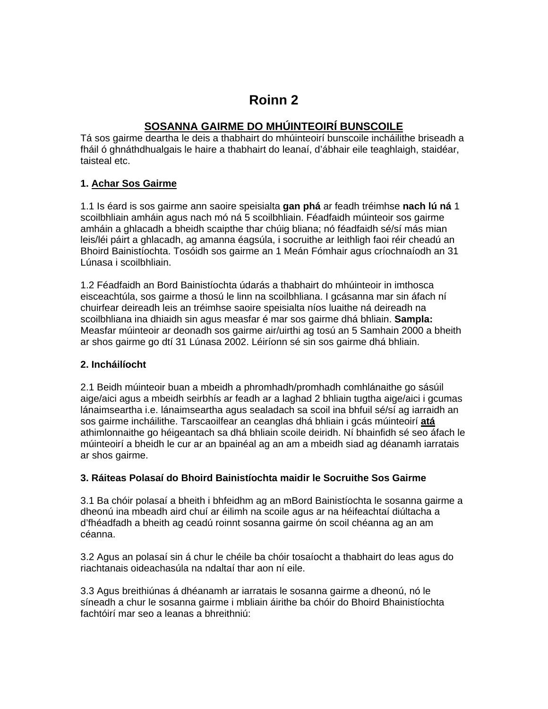### **Roinn 2**

#### **SOSANNA GAIRME DO MHÚINTEOIRÍ BUNSCOILE**

Tá sos gairme deartha le deis a thabhairt do mhúinteoirí bunscoile incháilithe briseadh a fháil ó ghnáthdhualgais le haire a thabhairt do leanaí, d'ábhair eile teaghlaigh, staidéar, taisteal etc.

#### **1. Achar Sos Gairme**

1.1 Is éard is sos gairme ann saoire speisialta **gan phá** ar feadh tréimhse **nach lú ná** 1 scoilbhliain amháin agus nach mó ná 5 scoilbhliain. Féadfaidh múinteoir sos gairme amháin a ghlacadh a bheidh scaipthe thar chúig bliana; nó féadfaidh sé/sí más mian leis/léi páirt a ghlacadh, ag amanna éagsúla, i socruithe ar leithligh faoi réir cheadú an Bhoird Bainistíochta. Tosóidh sos gairme an 1 Meán Fómhair agus críochnaíodh an 31 Lúnasa i scoilbhliain.

1.2 Féadfaidh an Bord Bainistíochta údarás a thabhairt do mhúinteoir in imthosca eisceachtúla, sos gairme a thosú le linn na scoilbhliana. I gcásanna mar sin áfach ní chuirfear deireadh leis an tréimhse saoire speisialta níos luaithe ná deireadh na scoilbhliana ina dhiaidh sin agus measfar é mar sos gairme dhá bhliain. **Sampla:**  Measfar múinteoir ar deonadh sos gairme air/uirthi ag tosú an 5 Samhain 2000 a bheith ar shos gairme go dtí 31 Lúnasa 2002. Léiríonn sé sin sos gairme dhá bhliain.

#### **2. Incháilíocht**

2.1 Beidh múinteoir buan a mbeidh a phromhadh/promhadh comhlánaithe go sásúil aige/aici agus a mbeidh seirbhís ar feadh ar a laghad 2 bhliain tugtha aige/aici i gcumas lánaimseartha i.e. lánaimseartha agus sealadach sa scoil ina bhfuil sé/sí ag iarraidh an sos gairme incháilithe. Tarscaoilfear an ceanglas dhá bhliain i gcás múinteoirí **atá** athimlonnaithe go héigeantach sa dhá bhliain scoile deiridh. Ní bhainfidh sé seo áfach le múinteoirí a bheidh le cur ar an bpainéal ag an am a mbeidh siad ag déanamh iarratais ar shos gairme.

#### **3. Ráiteas Polasaí do Bhoird Bainistíochta maidir le Socruithe Sos Gairme**

3.1 Ba chóir polasaí a bheith i bhfeidhm ag an mBord Bainistíochta le sosanna gairme a dheonú ina mbeadh aird chuí ar éilimh na scoile agus ar na héifeachtaí diúltacha a d'fhéadfadh a bheith ag ceadú roinnt sosanna gairme ón scoil chéanna ag an am céanna.

3.2 Agus an polasaí sin á chur le chéile ba chóir tosaíocht a thabhairt do leas agus do riachtanais oideachasúla na ndaltaí thar aon ní eile.

3.3 Agus breithiúnas á dhéanamh ar iarratais le sosanna gairme a dheonú, nó le síneadh a chur le sosanna gairme i mbliain áirithe ba chóir do Bhoird Bhainistíochta fachtóirí mar seo a leanas a bhreithniú: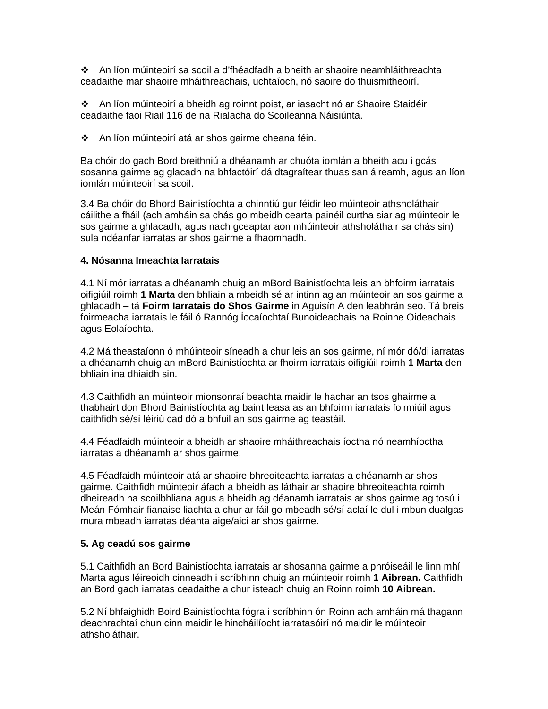An líon múinteoirí sa scoil a d'fhéadfadh a bheith ar shaoire neamhláithreachta ceadaithe mar shaoire mháithreachais, uchtaíoch, nó saoire do thuismitheoirí.

 An líon múinteoirí a bheidh ag roinnt poist, ar iasacht nó ar Shaoire Staidéir ceadaithe faoi Riail 116 de na Rialacha do Scoileanna Náisiúnta.

An líon múinteoirí atá ar shos gairme cheana féin.

Ba chóir do gach Bord breithniú a dhéanamh ar chuóta iomlán a bheith acu i gcás sosanna gairme ag glacadh na bhfactóirí dá dtagraítear thuas san áireamh, agus an líon iomlán múinteoirí sa scoil.

3.4 Ba chóir do Bhord Bainistíochta a chinntiú gur féidir leo múinteoir athsholáthair cáilithe a fháil (ach amháin sa chás go mbeidh cearta painéil curtha siar ag múinteoir le sos gairme a ghlacadh, agus nach gceaptar aon mhúinteoir athsholáthair sa chás sin) sula ndéanfar iarratas ar shos gairme a fhaomhadh.

#### **4. Nósanna Imeachta Iarratais**

4.1 Ní mór iarratas a dhéanamh chuig an mBord Bainistíochta leis an bhfoirm iarratais oifigiúil roimh **1 Marta** den bhliain a mbeidh sé ar intinn ag an múinteoir an sos gairme a ghlacadh – tá **Foirm Iarratais do Shos Gairme** in Aguisín A den leabhrán seo. Tá breis foirmeacha iarratais le fáil ó Rannóg Íocaíochtaí Bunoideachais na Roinne Oideachais agus Eolaíochta.

4.2 Má theastaíonn ó mhúinteoir síneadh a chur leis an sos gairme, ní mór dó/di iarratas a dhéanamh chuig an mBord Bainistíochta ar fhoirm iarratais oifigiúil roimh **1 Marta** den bhliain ina dhiaidh sin.

4.3 Caithfidh an múinteoir mionsonraí beachta maidir le hachar an tsos ghairme a thabhairt don Bhord Bainistíochta ag baint leasa as an bhfoirm iarratais foirmiúil agus caithfidh sé/sí léiriú cad dó a bhfuil an sos gairme ag teastáil.

4.4 Féadfaidh múinteoir a bheidh ar shaoire mháithreachais íoctha nó neamhíoctha iarratas a dhéanamh ar shos gairme.

4.5 Féadfaidh múinteoir atá ar shaoire bhreoiteachta iarratas a dhéanamh ar shos gairme. Caithfidh múinteoir áfach a bheidh as láthair ar shaoire bhreoiteachta roimh dheireadh na scoilbhliana agus a bheidh ag déanamh iarratais ar shos gairme ag tosú i Meán Fómhair fianaise liachta a chur ar fáil go mbeadh sé/sí aclaí le dul i mbun dualgas mura mbeadh iarratas déanta aige/aici ar shos gairme.

#### **5. Ag ceadú sos gairme**

5.1 Caithfidh an Bord Bainistíochta iarratais ar shosanna gairme a phróiseáil le linn mhí Marta agus léireoidh cinneadh i scríbhinn chuig an múinteoir roimh **1 Aibrean.** Caithfidh an Bord gach iarratas ceadaithe a chur isteach chuig an Roinn roimh **10 Aibrean.** 

5.2 Ní bhfaighidh Boird Bainistíochta fógra i scríbhinn ón Roinn ach amháin má thagann deachrachtaí chun cinn maidir le hincháilíocht iarratasóirí nó maidir le múinteoir athsholáthair.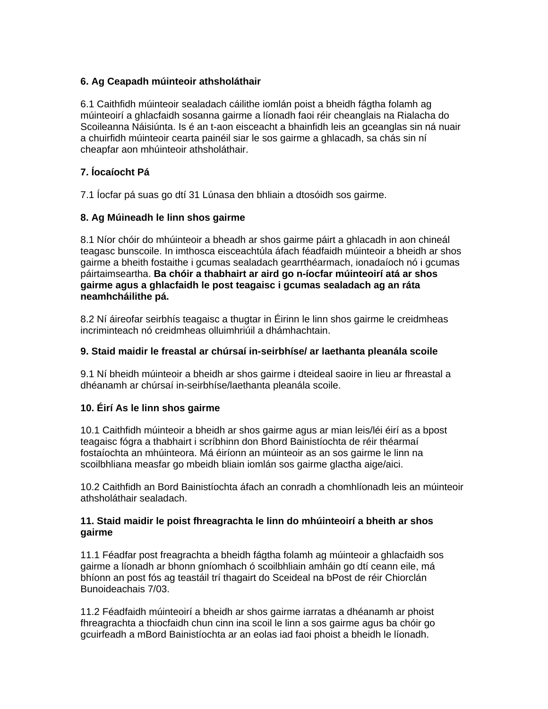#### **6. Ag Ceapadh múinteoir athsholáthair**

6.1 Caithfidh múinteoir sealadach cáilithe iomlán poist a bheidh fágtha folamh ag múinteoirí a ghlacfaidh sosanna gairme a líonadh faoi réir cheanglais na Rialacha do Scoileanna Náisiúnta. Is é an t-aon eisceacht a bhainfidh leis an gceanglas sin ná nuair a chuirfidh múinteoir cearta painéil siar le sos gairme a ghlacadh, sa chás sin ní cheapfar aon mhúinteoir athsholáthair.

#### **7. Íocaíocht Pá**

7.1 Íocfar pá suas go dtí 31 Lúnasa den bhliain a dtosóidh sos gairme.

#### **8. Ag Múineadh le linn shos gairme**

8.1 Níor chóir do mhúinteoir a bheadh ar shos gairme páirt a ghlacadh in aon chineál teagasc bunscoile. In imthosca eisceachtúla áfach féadfaidh múinteoir a bheidh ar shos gairme a bheith fostaithe i gcumas sealadach gearrthéarmach, ionadaíoch nó i gcumas páirtaimseartha. **Ba chóir a thabhairt ar aird go n-íocfar múinteoirí atá ar shos gairme agus a ghlacfaidh le post teagaisc i gcumas sealadach ag an ráta neamhcháilithe pá.** 

8.2 Ní áireofar seirbhís teagaisc a thugtar in Éirinn le linn shos gairme le creidmheas incriminteach nó creidmheas olluimhriúil a dhámhachtain.

#### **9. Staid maidir le freastal ar chúrsaí in-seirbhíse/ ar laethanta pleanála scoile**

9.1 Ní bheidh múinteoir a bheidh ar shos gairme i dteideal saoire in lieu ar fhreastal a dhéanamh ar chúrsaí in-seirbhíse/laethanta pleanála scoile.

#### **10. Éirí As le linn shos gairme**

10.1 Caithfidh múinteoir a bheidh ar shos gairme agus ar mian leis/léi éirí as a bpost teagaisc fógra a thabhairt i scríbhinn don Bhord Bainistíochta de réir théarmaí fostaíochta an mhúinteora. Má éiríonn an múinteoir as an sos gairme le linn na scoilbhliana measfar go mbeidh bliain iomlán sos gairme glactha aige/aici.

10.2 Caithfidh an Bord Bainistíochta áfach an conradh a chomhlíonadh leis an múinteoir athsholáthair sealadach.

#### **11. Staid maidir le poist fhreagrachta le linn do mhúinteoirí a bheith ar shos gairme**

11.1 Féadfar post freagrachta a bheidh fágtha folamh ag múinteoir a ghlacfaidh sos gairme a líonadh ar bhonn gníomhach ó scoilbhliain amháin go dtí ceann eile, má bhíonn an post fós ag teastáil trí thagairt do Sceideal na bPost de réir Chiorclán Bunoideachais 7/03.

11.2 Féadfaidh múinteoirí a bheidh ar shos gairme iarratas a dhéanamh ar phoist fhreagrachta a thiocfaidh chun cinn ina scoil le linn a sos gairme agus ba chóir go gcuirfeadh a mBord Bainistíochta ar an eolas iad faoi phoist a bheidh le líonadh.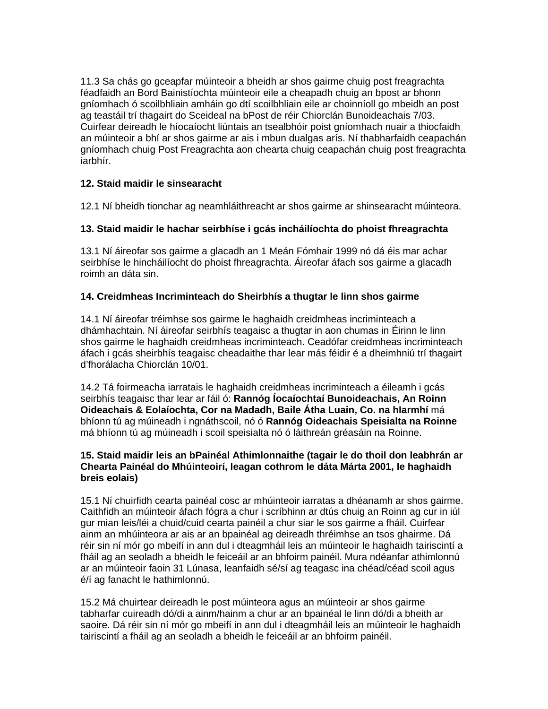11.3 Sa chás go gceapfar múinteoir a bheidh ar shos gairme chuig post freagrachta féadfaidh an Bord Bainistíochta múinteoir eile a cheapadh chuig an bpost ar bhonn gníomhach ó scoilbhliain amháin go dtí scoilbhliain eile ar choinníoll go mbeidh an post ag teastáil trí thagairt do Sceideal na bPost de réir Chiorclán Bunoideachais 7/03. Cuirfear deireadh le híocaíocht liúntais an tsealbhóir poist gníomhach nuair a thiocfaidh an múinteoir a bhí ar shos gairme ar ais i mbun dualgas arís. Ní thabharfaidh ceapachán gníomhach chuig Post Freagrachta aon chearta chuig ceapachán chuig post freagrachta iarbhír.

#### **12. Staid maidir le sinsearacht**

12.1 Ní bheidh tionchar ag neamhláithreacht ar shos gairme ar shinsearacht múinteora.

#### **13. Staid maidir le hachar seirbhíse i gcás incháilíochta do phoist fhreagrachta**

13.1 Ní áireofar sos gairme a glacadh an 1 Meán Fómhair 1999 nó dá éis mar achar seirbhíse le hincháilíocht do phoist fhreagrachta. Áireofar áfach sos gairme a glacadh roimh an dáta sin.

#### **14. Creidmheas Incriminteach do Sheirbhís a thugtar le linn shos gairme**

14.1 Ní áireofar tréimhse sos gairme le haghaidh creidmheas incriminteach a dhámhachtain. Ní áireofar seirbhís teagaisc a thugtar in aon chumas in Éirinn le linn shos gairme le haghaidh creidmheas incriminteach. Ceadófar creidmheas incriminteach áfach i gcás sheirbhís teagaisc cheadaithe thar lear más féidir é a dheimhniú trí thagairt d'fhorálacha Chiorclán 10/01.

14.2 Tá foirmeacha iarratais le haghaidh creidmheas incriminteach a éileamh i gcás seirbhís teagaisc thar lear ar fáil ó: **Rannóg Íocaíochtaí Bunoideachais, An Roinn Oideachais & Eolaíochta, Cor na Madadh, Baile Átha Luain, Co. na hIarmhí** má bhíonn tú ag múineadh i ngnáthscoil, nó ó **Rannóg Oideachais Speisialta na Roinne** má bhíonn tú ag múineadh i scoil speisialta nó ó láithreán gréasáin na Roinne.

#### **15. Staid maidir leis an bPainéal Athimlonnaithe (tagair le do thoil don leabhrán ar Chearta Painéal do Mhúinteoirí, leagan cothrom le dáta Márta 2001, le haghaidh breis eolais)**

15.1 Ní chuirfidh cearta painéal cosc ar mhúinteoir iarratas a dhéanamh ar shos gairme. Caithfidh an múinteoir áfach fógra a chur i scríbhinn ar dtús chuig an Roinn ag cur in iúl gur mian leis/léi a chuid/cuid cearta painéil a chur siar le sos gairme a fháil. Cuirfear ainm an mhúinteora ar ais ar an bpainéal ag deireadh thréimhse an tsos ghairme. Dá réir sin ní mór go mbeifí in ann dul i dteagmháil leis an múinteoir le haghaidh tairiscintí a fháil ag an seoladh a bheidh le feiceáil ar an bhfoirm painéil. Mura ndéanfar athimlonnú ar an múinteoir faoin 31 Lúnasa, leanfaidh sé/sí ag teagasc ina chéad/céad scoil agus é/í ag fanacht le hathimlonnú.

15.2 Má chuirtear deireadh le post múinteora agus an múinteoir ar shos gairme tabharfar cuireadh dó/di a ainm/hainm a chur ar an bpainéal le linn dó/di a bheith ar saoire. Dá réir sin ní mór go mbeifí in ann dul i dteagmháil leis an múinteoir le haghaidh tairiscintí a fháil ag an seoladh a bheidh le feiceáil ar an bhfoirm painéil.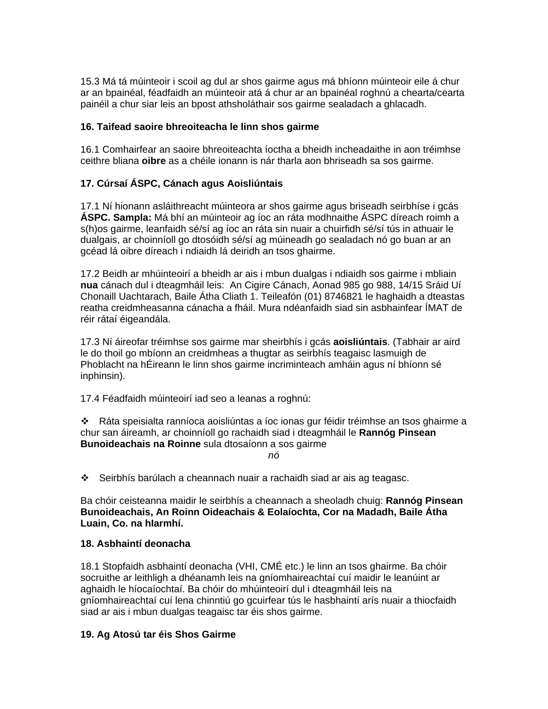15.3 Má tá múinteoir i scoil ag dul ar shos gairme agus má bhíonn múinteoir eile á chur ar an bpainéal, féadfaidh an múinteoir atá á chur ar an bpainéal roghnú a chearta/cearta painéil a chur siar leis an bpost athsholáthair sos gairme sealadach a ghlacadh.

#### **16. Taifead saoire bhreoiteacha le linn shos gairme**

16.1 Comhairfear an saoire bhreoiteachta íoctha a bheidh incheadaithe in aon tréimhse ceithre bliana **oibre** as a chéile ionann is nár tharla aon bhriseadh sa sos gairme.

#### **17. Cúrsaí ÁSPC, Cánach agus Aoisliúntais**

17.1 Ní hionann asláithreacht múinteora ar shos gairme agus briseadh seirbhíse i gcás **ÁSPC. Sampla:** Má bhí an múinteoir ag íoc an ráta modhnaithe ÁSPC díreach roimh a s(h)os gairme, leanfaidh sé/sí ag íoc an ráta sin nuair a chuirfidh sé/sí tús in athuair le dualgais, ar choinníoll go dtosóidh sé/sí ag múineadh go sealadach nó go buan ar an gcéad lá oibre díreach i ndiaidh lá deiridh an tsos ghairme.

17.2 Beidh ar mhúinteoirí a bheidh ar ais i mbun dualgas i ndiaidh sos gairme i mbliain **nua** cánach dul i dteagmháil leis: An Cigire Cánach, Aonad 985 go 988, 14/15 Sráid Uí Chonaill Uachtarach, Baile Átha Cliath 1. Teileafón (01) 8746821 le haghaidh a dteastas reatha creidmheasanna cánacha a fháil. Mura ndéanfaidh siad sin asbhainfear ÍMAT de réir rátaí éigeandála.

17.3 Ní áireofar tréimhse sos gairme mar sheirbhís i gcás **aoisliúntais**. (Tabhair ar aird le do thoil go mbíonn an creidmheas a thugtar as seirbhís teagaisc lasmuigh de Phoblacht na hÉireann le linn shos gairme incriminteach amháin agus ní bhíonn sé inphinsin).

17.4 Féadfaidh múinteoirí iad seo a leanas a roghnú:

 Ráta speisialta ranníoca aoisliúntas a íoc ionas gur féidir tréimhse an tsos ghairme a chur san áireamh, ar choinníoll go rachaidh siad i dteagmháil le **Rannóg Pinsean Bunoideachais na Roinne** sula dtosaíonn a sos gairme

*nó* 

Seirbhís barúlach a cheannach nuair a rachaidh siad ar ais ag teagasc.

Ba chóir ceisteanna maidir le seirbhís a cheannach a sheoladh chuig: **Rannóg Pinsean Bunoideachais, An Roinn Oideachais & Eolaíochta, Cor na Madadh, Baile Átha Luain, Co. na hIarmhí.** 

#### **18. Asbhaintí deonacha**

18.1 Stopfaidh asbhaintí deonacha (VHI, CMÉ etc.) le linn an tsos ghairme. Ba chóir socruithe ar leithligh a dhéanamh leis na gníomhaireachtaí cuí maidir le leanúint ar aghaidh le híocaíochtaí. Ba chóir do mhúinteoirí dul i dteagmháil leis na gníomhaireachtaí cuí lena chinntiú go gcuirfear tús le hasbhaintí arís nuair a thiocfaidh siad ar ais i mbun dualgas teagaisc tar éis shos gairme.

#### **19. Ag Atosú tar éis Shos Gairme**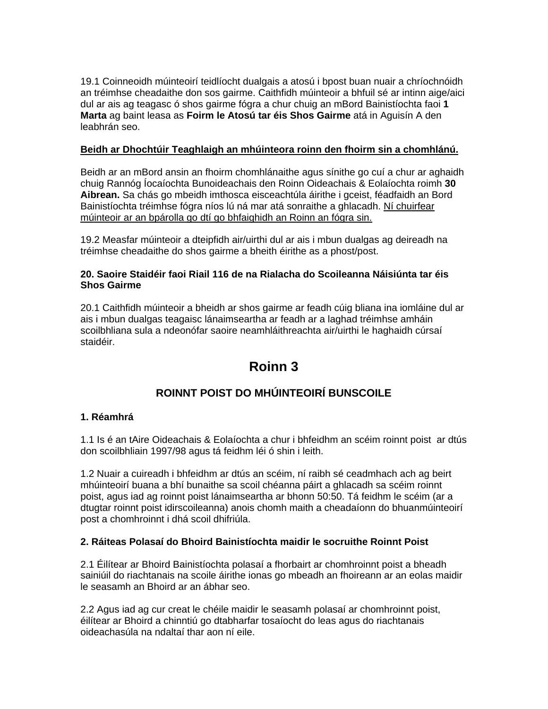19.1 Coinneoidh múinteoirí teidlíocht dualgais a atosú i bpost buan nuair a chríochnóidh an tréimhse cheadaithe don sos gairme. Caithfidh múinteoir a bhfuil sé ar intinn aige/aici dul ar ais ag teagasc ó shos gairme fógra a chur chuig an mBord Bainistíochta faoi **1 Marta** ag baint leasa as **Foirm le Atosú tar éis Shos Gairme** atá in Aguisín A den leabhrán seo.

#### **Beidh ar Dhochtúir Teaghlaigh an mhúinteora roinn den fhoirm sin a chomhlánú.**

Beidh ar an mBord ansin an fhoirm chomhlánaithe agus sínithe go cuí a chur ar aghaidh chuig Rannóg Íocaíochta Bunoideachais den Roinn Oideachais & Eolaíochta roimh **30 Aibrean.** Sa chás go mbeidh imthosca eisceachtúla áirithe i gceist, féadfaidh an Bord Bainistíochta tréimhse fógra níos lú ná mar atá sonraithe a ghlacadh. Ní chuirfear múinteoir ar an bpárolla go dtí go bhfaighidh an Roinn an fógra sin.

19.2 Measfar múinteoir a dteipfidh air/uirthi dul ar ais i mbun dualgas ag deireadh na tréimhse cheadaithe do shos gairme a bheith éirithe as a phost/post.

#### **20. Saoire Staidéir faoi Riail 116 de na Rialacha do Scoileanna Náisiúnta tar éis Shos Gairme**

20.1 Caithfidh múinteoir a bheidh ar shos gairme ar feadh cúig bliana ina iomláine dul ar ais i mbun dualgas teagaisc lánaimseartha ar feadh ar a laghad tréimhse amháin scoilbhliana sula a ndeonófar saoire neamhláithreachta air/uirthi le haghaidh cúrsaí staidéir.

### **Roinn 3**

#### **ROINNT POIST DO MHÚINTEOIRÍ BUNSCOILE**

#### **1. Réamhrá**

1.1 Is é an tAire Oideachais & Eolaíochta a chur i bhfeidhm an scéim roinnt poist ar dtús don scoilbhliain 1997/98 agus tá feidhm léi ó shin i leith.

1.2 Nuair a cuireadh i bhfeidhm ar dtús an scéim, ní raibh sé ceadmhach ach ag beirt mhúinteoirí buana a bhí bunaithe sa scoil chéanna páirt a ghlacadh sa scéim roinnt poist, agus iad ag roinnt poist lánaimseartha ar bhonn 50:50. Tá feidhm le scéim (ar a dtugtar roinnt poist idirscoileanna) anois chomh maith a cheadaíonn do bhuanmúinteoirí post a chomhroinnt i dhá scoil dhifriúla.

#### **2. Ráiteas Polasaí do Bhoird Bainistíochta maidir le socruithe Roinnt Poist**

2.1 Éilítear ar Bhoird Bainistíochta polasaí a fhorbairt ar chomhroinnt poist a bheadh sainiúil do riachtanais na scoile áirithe ionas go mbeadh an fhoireann ar an eolas maidir le seasamh an Bhoird ar an ábhar seo.

2.2 Agus iad ag cur creat le chéile maidir le seasamh polasaí ar chomhroinnt poist, éilítear ar Bhoird a chinntiú go dtabharfar tosaíocht do leas agus do riachtanais oideachasúla na ndaltaí thar aon ní eile.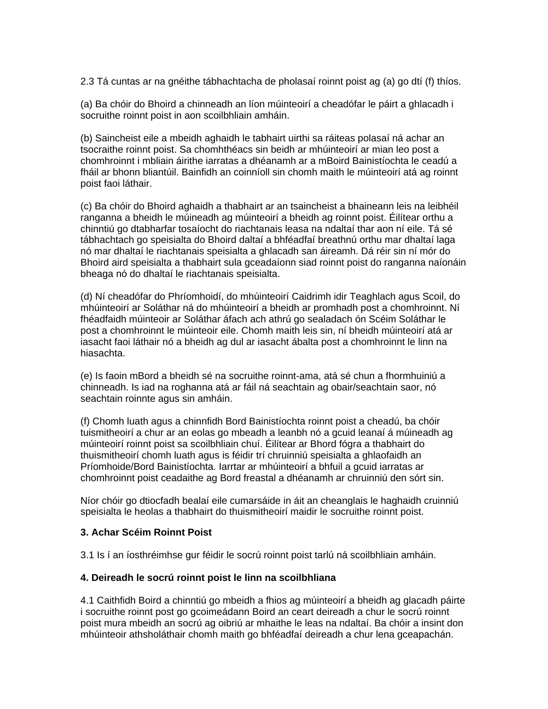2.3 Tá cuntas ar na gnéithe tábhachtacha de pholasaí roinnt poist ag (a) go dtí (f) thíos.

(a) Ba chóir do Bhoird a chinneadh an líon múinteoirí a cheadófar le páirt a ghlacadh i socruithe roinnt poist in aon scoilbhliain amháin.

(b) Saincheist eile a mbeidh aghaidh le tabhairt uirthi sa ráiteas polasaí ná achar an tsocraithe roinnt poist. Sa chomhthéacs sin beidh ar mhúinteoirí ar mian leo post a chomhroinnt i mbliain áirithe iarratas a dhéanamh ar a mBoird Bainistíochta le ceadú a fháil ar bhonn bliantúil. Bainfidh an coinníoll sin chomh maith le múinteoirí atá ag roinnt poist faoi láthair.

(c) Ba chóir do Bhoird aghaidh a thabhairt ar an tsaincheist a bhaineann leis na leibhéil ranganna a bheidh le múineadh ag múinteoirí a bheidh ag roinnt poist. Éilítear orthu a chinntiú go dtabharfar tosaíocht do riachtanais leasa na ndaltaí thar aon ní eile. Tá sé tábhachtach go speisialta do Bhoird daltaí a bhféadfaí breathnú orthu mar dhaltaí laga nó mar dhaltaí le riachtanais speisialta a ghlacadh san áireamh. Dá réir sin ní mór do Bhoird aird speisialta a thabhairt sula gceadaíonn siad roinnt poist do ranganna naíonáin bheaga nó do dhaltaí le riachtanais speisialta.

(d) Ní cheadófar do Phríomhoidí, do mhúinteoirí Caidrimh idir Teaghlach agus Scoil, do mhúinteoirí ar Soláthar ná do mhúinteoirí a bheidh ar promhadh post a chomhroinnt. Ní fhéadfaidh múinteoir ar Soláthar áfach ach athrú go sealadach ón Scéim Soláthar le post a chomhroinnt le múinteoir eile. Chomh maith leis sin, ní bheidh múinteoirí atá ar iasacht faoi láthair nó a bheidh ag dul ar iasacht ábalta post a chomhroinnt le linn na hiasachta.

(e) Is faoin mBord a bheidh sé na socruithe roinnt-ama, atá sé chun a fhormhuiniú a chinneadh. Is iad na roghanna atá ar fáil ná seachtain ag obair/seachtain saor, nó seachtain roinnte agus sin amháin.

(f) Chomh luath agus a chinnfidh Bord Bainistíochta roinnt poist a cheadú, ba chóir tuismitheoirí a chur ar an eolas go mbeadh a leanbh nó a gcuid leanaí á múineadh ag múinteoirí roinnt poist sa scoilbhliain chuí. Éilítear ar Bhord fógra a thabhairt do thuismitheoirí chomh luath agus is féidir trí chruinniú speisialta a ghlaofaidh an Príomhoide/Bord Bainistíochta. Iarrtar ar mhúinteoirí a bhfuil a gcuid iarratas ar chomhroinnt poist ceadaithe ag Bord freastal a dhéanamh ar chruinniú den sórt sin.

Níor chóir go dtiocfadh bealaí eile cumarsáide in áit an cheanglais le haghaidh cruinniú speisialta le heolas a thabhairt do thuismitheoirí maidir le socruithe roinnt poist.

#### **3. Achar Scéim Roinnt Poist**

3.1 Is í an íosthréimhse gur féidir le socrú roinnt poist tarlú ná scoilbhliain amháin.

#### **4. Deireadh le socrú roinnt poist le linn na scoilbhliana**

4.1 Caithfidh Boird a chinntiú go mbeidh a fhios ag múinteoirí a bheidh ag glacadh páirte i socruithe roinnt post go gcoimeádann Boird an ceart deireadh a chur le socrú roinnt poist mura mbeidh an socrú ag oibriú ar mhaithe le leas na ndaltaí. Ba chóir a insint don mhúinteoir athsholáthair chomh maith go bhféadfaí deireadh a chur lena gceapachán.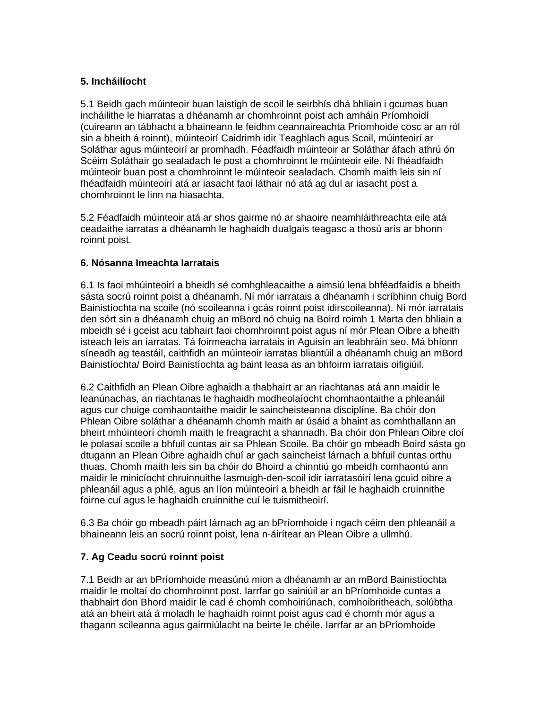#### **5. Incháilíocht**

5.1 Beidh gach múinteoir buan laistigh de scoil le seirbhís dhá bhliain i gcumas buan incháilithe le hiarratas a dhéanamh ar chomhroinnt poist ach amháin Príomhoidí (cuireann an tábhacht a bhaineann le feidhm ceannaireachta Príomhoide cosc ar an ról sin a bheith á roinnt), múinteoirí Caidrimh idir Teaghlach agus Scoil, múinteoirí ar Soláthar agus múinteoirí ar promhadh. Féadfaidh múinteoir ar Soláthar áfach athrú ón Scéim Soláthair go sealadach le post a chomhroinnt le múinteoir eile. Ní fhéadfaidh múinteoir buan post a chomhroinnt le múinteoir sealadach. Chomh maith leis sin ní fhéadfaidh múinteoirí atá ar iasacht faoi láthair nó atá ag dul ar iasacht post a chomhroinnt le linn na hiasachta.

5.2 Féadfaidh múinteoir atá ar shos gairme nó ar shaoire neamhláithreachta eile atá ceadaithe iarratas a dhéanamh le haghaidh dualgais teagasc a thosú arís ar bhonn roinnt poist.

#### **6. Nósanna Imeachta Iarratais**

6.1 Is faoi mhúinteoirí a bheidh sé comhghleacaithe a aimsiú lena bhféadfaidís a bheith sásta socrú roinnt poist a dhéanamh. Ní mór iarratais a dhéanamh i scríbhinn chuig Bord Bainistíochta na scoile (nó scoileanna i gcás roinnt poist idirscoileanna). Ní mór iarratais den sórt sin a dhéanamh chuig an mBord nó chuig na Boird roimh 1 Marta den bhliain a mbeidh sé i gceist acu tabhairt faoi chomhroinnt poist agus ní mór Plean Oibre a bheith isteach leis an iarratas. Tá foirmeacha iarratais in Aguisín an leabhráin seo. Má bhíonn síneadh ag teastáil, caithfidh an múinteoir iarratas bliantúil a dhéanamh chuig an mBord Bainistíochta/ Boird Bainistíochta ag baint leasa as an bhfoirm iarratais oifigiúil.

6.2 Caithfidh an Plean Oibre aghaidh a thabhairt ar an riachtanas atá ann maidir le leanúnachas, an riachtanas le haghaidh modheolaíocht chomhaontaithe a phleanáil agus cur chuige comhaontaithe maidir le saincheisteanna disciplíne. Ba chóir don Phlean Oibre soláthar a dhéanamh chomh maith ar úsáid a bhaint as comhthallann an bheirt mhúinteorí chomh maith le freagracht a shannadh. Ba chóir don Phlean Oibre cloí le polasaí scoile a bhfuil cuntas air sa Phlean Scoile. Ba chóir go mbeadh Boird sásta go dtugann an Plean Oibre aghaidh chuí ar gach saincheist lárnach a bhfuil cuntas orthu thuas. Chomh maith leis sin ba chóir do Bhoird a chinntiú go mbeidh comhaontú ann maidir le minicíocht chruinnuithe lasmuigh-den-scoil idir iarratasóirí lena gcuid oibre a phleanáil agus a phlé, agus an líon múinteoirí a bheidh ar fáil le haghaidh cruinnithe foirne cuí agus le haghaidh cruinnithe cuí le tuismitheoirí.

6.3 Ba chóir go mbeadh páirt lárnach ag an bPríomhoide i ngach céim den phleanáil a bhaineann leis an socrú roinnt poist, lena n-áirítear an Plean Oibre a ullmhú.

#### **7. Ag Ceadu socrú roinnt poist**

7.1 Beidh ar an bPríomhoide measúnú mion a dhéanamh ar an mBord Bainistíochta maidir le moltaí do chomhroinnt post. Iarrfar go sainiúil ar an bPríomhoide cuntas a thabhairt don Bhord maidir le cad é chomh comhoiriúnach, comhoibritheach, solúbtha atá an bheirt atá á moladh le haghaidh roinnt poist agus cad é chomh mór agus a thagann scileanna agus gairmiúlacht na beirte le chéile. Iarrfar ar an bPríomhoide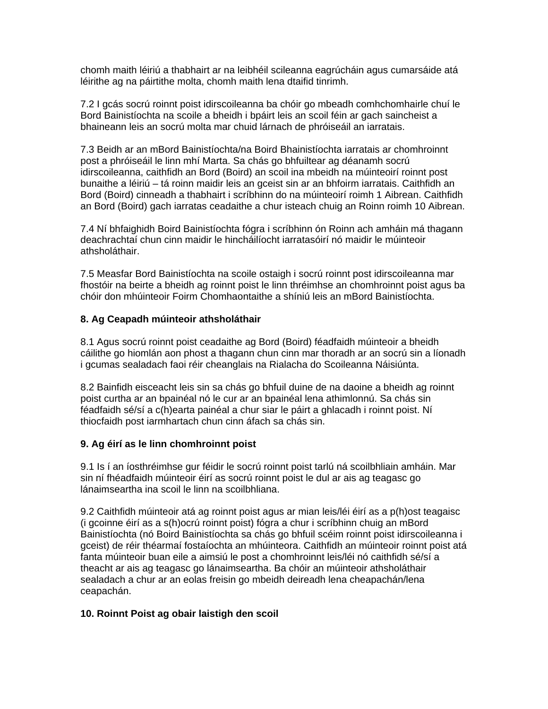chomh maith léiriú a thabhairt ar na leibhéil scileanna eagrúcháin agus cumarsáide atá léirithe ag na páirtithe molta, chomh maith lena dtaifid tinrimh.

7.2 I gcás socrú roinnt poist idirscoileanna ba chóir go mbeadh comhchomhairle chuí le Bord Bainistíochta na scoile a bheidh i bpáirt leis an scoil féin ar gach saincheist a bhaineann leis an socrú molta mar chuid lárnach de phróiseáil an iarratais.

7.3 Beidh ar an mBord Bainistíochta/na Boird Bhainistíochta iarratais ar chomhroinnt post a phróiseáil le linn mhí Marta. Sa chás go bhfuiltear ag déanamh socrú idirscoileanna, caithfidh an Bord (Boird) an scoil ina mbeidh na múinteoirí roinnt post bunaithe a léiriú – tá roinn maidir leis an gceist sin ar an bhfoirm iarratais. Caithfidh an Bord (Boird) cinneadh a thabhairt i scríbhinn do na múinteoirí roimh 1 Aibrean. Caithfidh an Bord (Boird) gach iarratas ceadaithe a chur isteach chuig an Roinn roimh 10 Aibrean.

7.4 Ní bhfaighidh Boird Bainistíochta fógra i scríbhinn ón Roinn ach amháin má thagann deachrachtaí chun cinn maidir le hincháilíocht iarratasóirí nó maidir le múinteoir athsholáthair.

7.5 Measfar Bord Bainistíochta na scoile ostaigh i socrú roinnt post idirscoileanna mar fhostóir na beirte a bheidh ag roinnt poist le linn thréimhse an chomhroinnt poist agus ba chóir don mhúinteoir Foirm Chomhaontaithe a shíniú leis an mBord Bainistíochta.

#### **8. Ag Ceapadh múinteoir athsholáthair**

8.1 Agus socrú roinnt poist ceadaithe ag Bord (Boird) féadfaidh múinteoir a bheidh cáilithe go hiomlán aon phost a thagann chun cinn mar thoradh ar an socrú sin a líonadh i gcumas sealadach faoi réir cheanglais na Rialacha do Scoileanna Náisiúnta.

8.2 Bainfidh eisceacht leis sin sa chás go bhfuil duine de na daoine a bheidh ag roinnt poist curtha ar an bpainéal nó le cur ar an bpainéal lena athimlonnú. Sa chás sin féadfaidh sé/sí a c(h)earta painéal a chur siar le páirt a ghlacadh i roinnt poist. Ní thiocfaidh post iarmhartach chun cinn áfach sa chás sin.

#### **9. Ag éirí as le linn chomhroinnt poist**

9.1 Is í an íosthréimhse gur féidir le socrú roinnt poist tarlú ná scoilbhliain amháin. Mar sin ní fhéadfaidh múinteoir éirí as socrú roinnt poist le dul ar ais ag teagasc go lánaimseartha ina scoil le linn na scoilbhliana.

9.2 Caithfidh múinteoir atá ag roinnt poist agus ar mian leis/léi éirí as a p(h)ost teagaisc (i gcoinne éirí as a s(h)ocrú roinnt poist) fógra a chur i scríbhinn chuig an mBord Bainistíochta (nó Boird Bainistíochta sa chás go bhfuil scéim roinnt poist idirscoileanna i gceist) de réir théarmaí fostaíochta an mhúinteora. Caithfidh an múinteoir roinnt poist atá fanta múinteoir buan eile a aimsiú le post a chomhroinnt leis/léi nó caithfidh sé/sí a theacht ar ais ag teagasc go lánaimseartha. Ba chóir an múinteoir athsholáthair sealadach a chur ar an eolas freisin go mbeidh deireadh lena cheapachán/lena ceapachán.

#### **10. Roinnt Poist ag obair laistigh den scoil**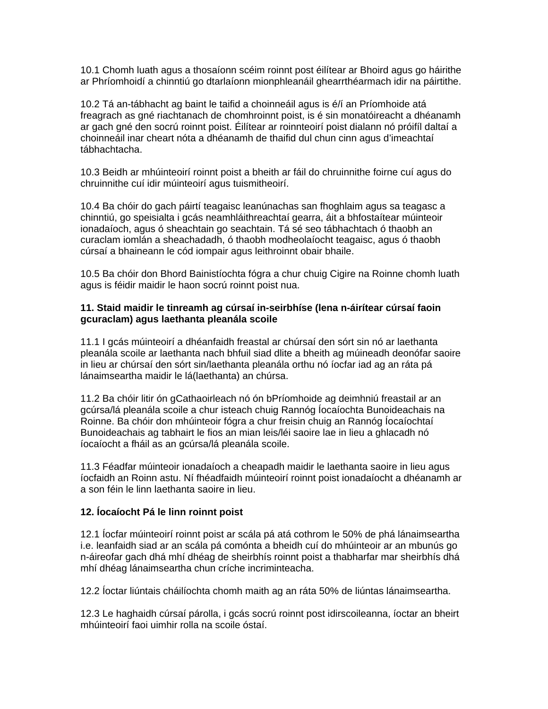10.1 Chomh luath agus a thosaíonn scéim roinnt post éilítear ar Bhoird agus go háirithe ar Phríomhoidí a chinntiú go dtarlaíonn mionphleanáil ghearrthéarmach idir na páirtithe.

10.2 Tá an-tábhacht ag baint le taifid a choinneáil agus is é/í an Príomhoide atá freagrach as gné riachtanach de chomhroinnt poist, is é sin monatóireacht a dhéanamh ar gach gné den socrú roinnt poist. Éilítear ar roinnteoirí poist dialann nó próifíl daltaí a choinneáil inar cheart nóta a dhéanamh de thaifid dul chun cinn agus d'imeachtaí tábhachtacha.

10.3 Beidh ar mhúinteoirí roinnt poist a bheith ar fáil do chruinnithe foirne cuí agus do chruinnithe cuí idir múinteoirí agus tuismitheoirí.

10.4 Ba chóir do gach páirtí teagaisc leanúnachas san fhoghlaim agus sa teagasc a chinntiú, go speisialta i gcás neamhláithreachtaí gearra, áit a bhfostaítear múinteoir ionadaíoch, agus ó sheachtain go seachtain. Tá sé seo tábhachtach ó thaobh an curaclam iomlán a sheachadadh, ó thaobh modheolaíocht teagaisc, agus ó thaobh cúrsaí a bhaineann le cód iompair agus leithroinnt obair bhaile.

10.5 Ba chóir don Bhord Bainistíochta fógra a chur chuig Cigire na Roinne chomh luath agus is féidir maidir le haon socrú roinnt poist nua.

#### **11. Staid maidir le tinreamh ag cúrsaí in-seirbhíse (lena n-áirítear cúrsaí faoin gcuraclam) agus laethanta pleanála scoile**

11.1 I gcás múinteoirí a dhéanfaidh freastal ar chúrsaí den sórt sin nó ar laethanta pleanála scoile ar laethanta nach bhfuil siad dlite a bheith ag múineadh deonófar saoire in lieu ar chúrsaí den sórt sin/laethanta pleanála orthu nó íocfar iad ag an ráta pá lánaimseartha maidir le lá(laethanta) an chúrsa.

11.2 Ba chóir litir ón gCathaoirleach nó ón bPríomhoide ag deimhniú freastail ar an gcúrsa/lá pleanála scoile a chur isteach chuig Rannóg Íocaíochta Bunoideachais na Roinne. Ba chóir don mhúinteoir fógra a chur freisin chuig an Rannóg Íocaíochtaí Bunoideachais ag tabhairt le fios an mian leis/léi saoire lae in lieu a ghlacadh nó íocaíocht a fháil as an gcúrsa/lá pleanála scoile.

11.3 Féadfar múinteoir ionadaíoch a cheapadh maidir le laethanta saoire in lieu agus íocfaidh an Roinn astu. Ní fhéadfaidh múinteoirí roinnt poist ionadaíocht a dhéanamh ar a son féin le linn laethanta saoire in lieu.

#### **12. Íocaíocht Pá le linn roinnt poist**

12.1 Íocfar múinteoirí roinnt poist ar scála pá atá cothrom le 50% de phá lánaimseartha i.e. leanfaidh siad ar an scála pá comónta a bheidh cuí do mhúinteoir ar an mbunús go n-áireofar gach dhá mhí dhéag de sheirbhís roinnt poist a thabharfar mar sheirbhís dhá mhí dhéag lánaimseartha chun críche incriminteacha.

12.2 Íoctar liúntais cháilíochta chomh maith ag an ráta 50% de liúntas lánaimseartha.

12.3 Le haghaidh cúrsaí párolla, i gcás socrú roinnt post idirscoileanna, íoctar an bheirt mhúinteoirí faoi uimhir rolla na scoile óstaí.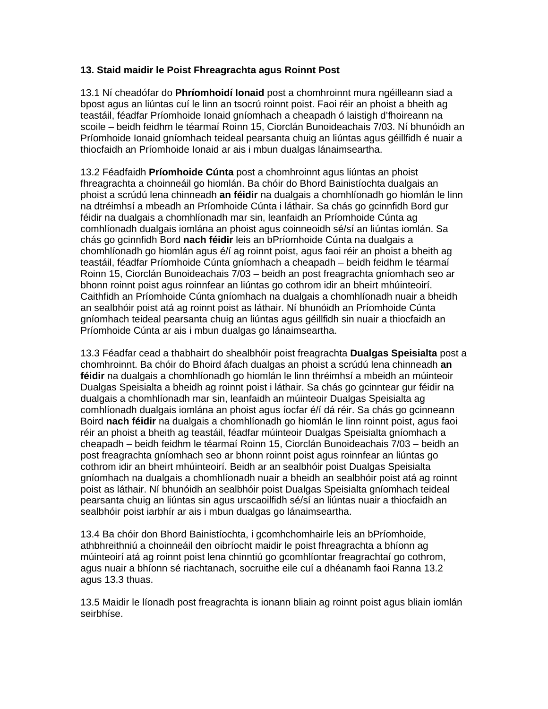#### **13. Staid maidir le Poist Fhreagrachta agus Roinnt Post**

13.1 Ní cheadófar do **Phríomhoidí Ionaid** post a chomhroinnt mura ngéilleann siad a bpost agus an liúntas cuí le linn an tsocrú roinnt poist. Faoi réir an phoist a bheith ag teastáil, féadfar Príomhoide Ionaid gníomhach a cheapadh ó laistigh d'fhoireann na scoile – beidh feidhm le téarmaí Roinn 15, Ciorclán Bunoideachais 7/03. Ní bhunóidh an Príomhoide Ionaid gníomhach teideal pearsanta chuig an liúntas agus géillfidh é nuair a thiocfaidh an Príomhoide Ionaid ar ais i mbun dualgas lánaimseartha.

13.2 Féadfaidh **Príomhoide Cúnta** post a chomhroinnt agus liúntas an phoist fhreagrachta a choinneáil go hiomlán. Ba chóir do Bhord Bainistíochta dualgais an phoist a scrúdú lena chinneadh **an féidir** na dualgais a chomhlíonadh go hiomlán le linn na dtréimhsí a mbeadh an Príomhoide Cúnta i láthair. Sa chás go gcinnfidh Bord gur féidir na dualgais a chomhlíonadh mar sin, leanfaidh an Príomhoide Cúnta ag comhlíonadh dualgais iomlána an phoist agus coinneoidh sé/sí an liúntas iomlán. Sa chás go gcinnfidh Bord **nach féidir** leis an bPríomhoide Cúnta na dualgais a chomhlíonadh go hiomlán agus é/í ag roinnt poist, agus faoi réir an phoist a bheith ag teastáil, féadfar Príomhoide Cúnta gníomhach a cheapadh – beidh feidhm le téarmaí Roinn 15, Ciorclán Bunoideachais 7/03 – beidh an post freagrachta gníomhach seo ar bhonn roinnt poist agus roinnfear an liúntas go cothrom idir an bheirt mhúinteoirí. Caithfidh an Príomhoide Cúnta gníomhach na dualgais a chomhlíonadh nuair a bheidh an sealbhóir poist atá ag roinnt poist as láthair. Ní bhunóidh an Príomhoide Cúnta gníomhach teideal pearsanta chuig an liúntas agus géillfidh sin nuair a thiocfaidh an Príomhoide Cúnta ar ais i mbun dualgas go lánaimseartha.

13.3 Féadfar cead a thabhairt do shealbhóir poist freagrachta **Dualgas Speisialta** post a chomhroinnt. Ba chóir do Bhoird áfach dualgas an phoist a scrúdú lena chinneadh **an féidir** na dualgais a chomhlíonadh go hiomlán le linn thréimhsí a mbeidh an múinteoir Dualgas Speisialta a bheidh ag roinnt poist i láthair. Sa chás go gcinntear gur féidir na dualgais a chomhlíonadh mar sin, leanfaidh an múinteoir Dualgas Speisialta ag comhlíonadh dualgais iomlána an phoist agus íocfar é/í dá réir. Sa chás go gcinneann Boird **nach féidir** na dualgais a chomhlíonadh go hiomlán le linn roinnt poist, agus faoi réir an phoist a bheith ag teastáil, féadfar múinteoir Dualgas Speisialta gníomhach a cheapadh – beidh feidhm le téarmaí Roinn 15, Ciorclán Bunoideachais 7/03 – beidh an post freagrachta gníomhach seo ar bhonn roinnt poist agus roinnfear an liúntas go cothrom idir an bheirt mhúinteoirí. Beidh ar an sealbhóir poist Dualgas Speisialta gníomhach na dualgais a chomhlíonadh nuair a bheidh an sealbhóir poist atá ag roinnt poist as láthair. Ní bhunóidh an sealbhóir poist Dualgas Speisialta gníomhach teideal pearsanta chuig an liúntas sin agus urscaoilfidh sé/sí an liúntas nuair a thiocfaidh an sealbhóir poist iarbhír ar ais i mbun dualgas go lánaimseartha.

13.4 Ba chóir don Bhord Bainistíochta, i gcomhchomhairle leis an bPríomhoide, athbhreithniú a choinneáil den oibríocht maidir le poist fhreagrachta a bhíonn ag múinteoirí atá ag roinnt poist lena chinntiú go gcomhlíontar freagrachtaí go cothrom, agus nuair a bhíonn sé riachtanach, socruithe eile cuí a dhéanamh faoi Ranna 13.2 agus 13.3 thuas.

13.5 Maidir le líonadh post freagrachta is ionann bliain ag roinnt poist agus bliain iomlán seirbhíse.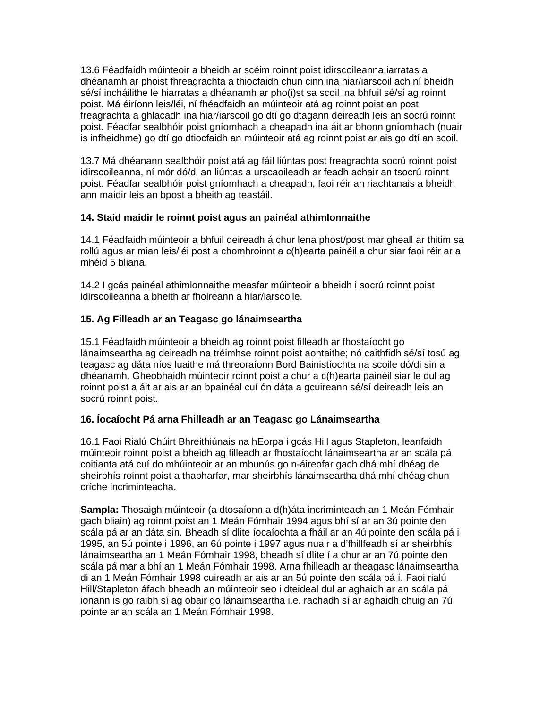13.6 Féadfaidh múinteoir a bheidh ar scéim roinnt poist idirscoileanna iarratas a dhéanamh ar phoist fhreagrachta a thiocfaidh chun cinn ina hiar/iarscoil ach ní bheidh sé/sí incháilithe le hiarratas a dhéanamh ar pho(i)st sa scoil ina bhfuil sé/sí ag roinnt poist. Má éiríonn leis/léi, ní fhéadfaidh an múinteoir atá ag roinnt poist an post freagrachta a ghlacadh ina hiar/iarscoil go dtí go dtagann deireadh leis an socrú roinnt poist. Féadfar sealbhóir poist gníomhach a cheapadh ina áit ar bhonn gníomhach (nuair is infheidhme) go dtí go dtiocfaidh an múinteoir atá ag roinnt poist ar ais go dtí an scoil.

13.7 Má dhéanann sealbhóir poist atá ag fáil liúntas post freagrachta socrú roinnt poist idirscoileanna, ní mór dó/di an liúntas a urscaoileadh ar feadh achair an tsocrú roinnt poist. Féadfar sealbhóir poist gníomhach a cheapadh, faoi réir an riachtanais a bheidh ann maidir leis an bpost a bheith ag teastáil.

#### **14. Staid maidir le roinnt poist agus an painéal athimlonnaithe**

14.1 Féadfaidh múinteoir a bhfuil deireadh á chur lena phost/post mar gheall ar thitim sa rollú agus ar mian leis/léi post a chomhroinnt a c(h)earta painéil a chur siar faoi réir ar a mhéid 5 bliana.

14.2 I gcás painéal athimlonnaithe measfar múinteoir a bheidh i socrú roinnt poist idirscoileanna a bheith ar fhoireann a hiar/iarscoile.

#### **15. Ag Filleadh ar an Teagasc go lánaimseartha**

15.1 Féadfaidh múinteoir a bheidh ag roinnt poist filleadh ar fhostaíocht go lánaimseartha ag deireadh na tréimhse roinnt poist aontaithe; nó caithfidh sé/sí tosú ag teagasc ag dáta níos luaithe má threoraíonn Bord Bainistíochta na scoile dó/di sin a dhéanamh. Gheobhaidh múinteoir roinnt poist a chur a c(h)earta painéil siar le dul ag roinnt poist a áit ar ais ar an bpainéal cuí ón dáta a gcuireann sé/sí deireadh leis an socrú roinnt poist.

#### **16. Íocaíocht Pá arna Fhilleadh ar an Teagasc go Lánaimseartha**

16.1 Faoi Rialú Chúirt Bhreithiúnais na hEorpa i gcás Hill agus Stapleton, leanfaidh múinteoir roinnt poist a bheidh ag filleadh ar fhostaíocht lánaimseartha ar an scála pá coitianta atá cuí do mhúinteoir ar an mbunús go n-áireofar gach dhá mhí dhéag de sheirbhís roinnt poist a thabharfar, mar sheirbhís lánaimseartha dhá mhí dhéag chun críche incriminteacha.

**Sampla:** Thosaigh múinteoir (a dtosaíonn a d(h)áta incriminteach an 1 Meán Fómhair gach bliain) ag roinnt poist an 1 Meán Fómhair 1994 agus bhí sí ar an 3ú pointe den scála pá ar an dáta sin. Bheadh sí dlite íocaíochta a fháil ar an 4ú pointe den scála pá i 1995, an 5ú pointe i 1996, an 6ú pointe i 1997 agus nuair a d'fhillfeadh sí ar sheirbhís lánaimseartha an 1 Meán Fómhair 1998, bheadh sí dlite í a chur ar an 7ú pointe den scála pá mar a bhí an 1 Meán Fómhair 1998. Arna fhilleadh ar theagasc lánaimseartha di an 1 Meán Fómhair 1998 cuireadh ar ais ar an 5ú pointe den scála pá í. Faoi rialú Hill/Stapleton áfach bheadh an múinteoir seo i dteideal dul ar aghaidh ar an scála pá ionann is go raibh sí ag obair go lánaimseartha i.e. rachadh sí ar aghaidh chuig an 7ú pointe ar an scála an 1 Meán Fómhair 1998.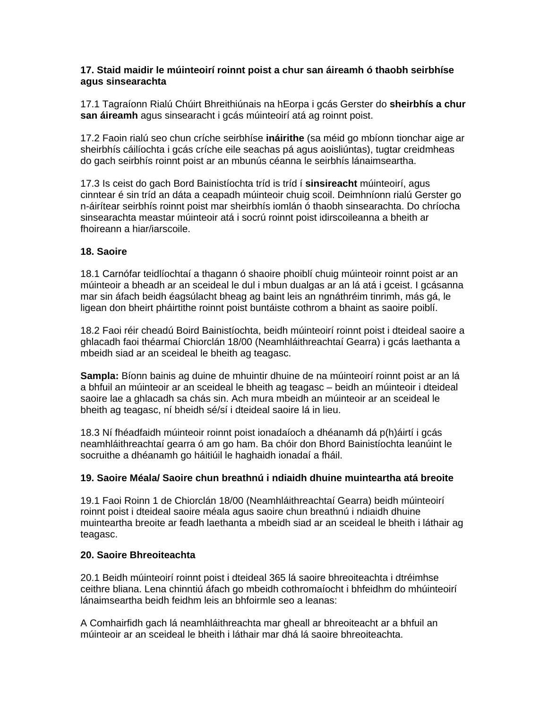#### **17. Staid maidir le múinteoirí roinnt poist a chur san áireamh ó thaobh seirbhíse agus sinsearachta**

17.1 Tagraíonn Rialú Chúirt Bhreithiúnais na hEorpa i gcás Gerster do **sheirbhís a chur san áireamh** agus sinsearacht i gcás múinteoirí atá ag roinnt poist.

17.2 Faoin rialú seo chun críche seirbhíse **ináirithe** (sa méid go mbíonn tionchar aige ar sheirbhís cáilíochta i gcás críche eile seachas pá agus aoisliúntas), tugtar creidmheas do gach seirbhís roinnt poist ar an mbunús céanna le seirbhís lánaimseartha.

17.3 Is ceist do gach Bord Bainistíochta tríd is tríd í **sinsireacht** múinteoirí, agus cinntear é sin tríd an dáta a ceapadh múinteoir chuig scoil. Deimhníonn rialú Gerster go n-áirítear seirbhís roinnt poist mar sheirbhís iomlán ó thaobh sinsearachta. Do chríocha sinsearachta meastar múinteoir atá i socrú roinnt poist idirscoileanna a bheith ar fhoireann a hiar/iarscoile.

#### **18. Saoire**

18.1 Carnófar teidlíochtaí a thagann ó shaoire phoiblí chuig múinteoir roinnt poist ar an múinteoir a bheadh ar an sceideal le dul i mbun dualgas ar an lá atá i gceist. I gcásanna mar sin áfach beidh éagsúlacht bheag ag baint leis an ngnáthréim tinrimh, más gá, le ligean don bheirt pháirtithe roinnt poist buntáiste cothrom a bhaint as saoire poiblí.

18.2 Faoi réir cheadú Boird Bainistíochta, beidh múinteoirí roinnt poist i dteideal saoire a ghlacadh faoi théarmaí Chiorclán 18/00 (Neamhláithreachtaí Gearra) i gcás laethanta a mbeidh siad ar an sceideal le bheith ag teagasc.

**Sampla:** Bíonn bainis ag duine de mhuintir dhuine de na múinteoirí roinnt poist ar an lá a bhfuil an múinteoir ar an sceideal le bheith ag teagasc – beidh an múinteoir i dteideal saoire lae a ghlacadh sa chás sin. Ach mura mbeidh an múinteoir ar an sceideal le bheith ag teagasc, ní bheidh sé/sí i dteideal saoire lá in lieu.

18.3 Ní fhéadfaidh múinteoir roinnt poist ionadaíoch a dhéanamh dá p(h)áirtí i gcás neamhláithreachtaí gearra ó am go ham. Ba chóir don Bhord Bainistíochta leanúint le socruithe a dhéanamh go háitiúil le haghaidh ionadaí a fháil.

#### **19. Saoire Méala/ Saoire chun breathnú i ndiaidh dhuine muinteartha atá breoite**

19.1 Faoi Roinn 1 de Chiorclán 18/00 (Neamhláithreachtaí Gearra) beidh múinteoirí roinnt poist i dteideal saoire méala agus saoire chun breathnú i ndiaidh dhuine muinteartha breoite ar feadh laethanta a mbeidh siad ar an sceideal le bheith i láthair ag teagasc.

#### **20. Saoire Bhreoiteachta**

20.1 Beidh múinteoirí roinnt poist i dteideal 365 lá saoire bhreoiteachta i dtréimhse ceithre bliana. Lena chinntiú áfach go mbeidh cothromaíocht i bhfeidhm do mhúinteoirí lánaimseartha beidh feidhm leis an bhfoirmle seo a leanas:

A Comhairfidh gach lá neamhláithreachta mar gheall ar bhreoiteacht ar a bhfuil an múinteoir ar an sceideal le bheith i láthair mar dhá lá saoire bhreoiteachta.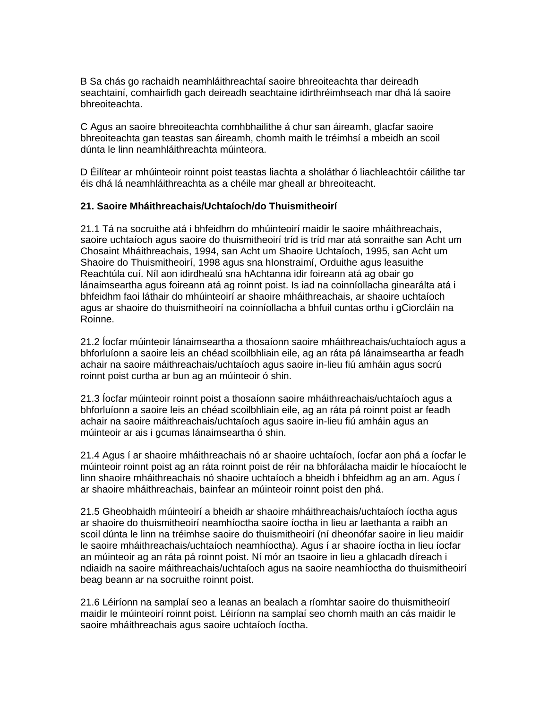B Sa chás go rachaidh neamhláithreachtaí saoire bhreoiteachta thar deireadh seachtainí, comhairfidh gach deireadh seachtaine idirthréimhseach mar dhá lá saoire bhreoiteachta.

C Agus an saoire bhreoiteachta comhbhailithe á chur san áireamh, glacfar saoire bhreoiteachta gan teastas san áireamh, chomh maith le tréimhsí a mbeidh an scoil dúnta le linn neamhláithreachta múinteora.

D Éilítear ar mhúinteoir roinnt poist teastas liachta a sholáthar ó liachleachtóir cáilithe tar éis dhá lá neamhláithreachta as a chéile mar gheall ar bhreoiteacht.

#### **21. Saoire Mháithreachais/Uchtaíoch/do Thuismitheoirí**

21.1 Tá na socruithe atá i bhfeidhm do mhúinteoirí maidir le saoire mháithreachais, saoire uchtaíoch agus saoire do thuismitheoirí tríd is tríd mar atá sonraithe san Acht um Chosaint Mháithreachais, 1994, san Acht um Shaoire Uchtaíoch, 1995, san Acht um Shaoire do Thuismitheoirí, 1998 agus sna hIonstraimí, Orduithe agus leasuithe Reachtúla cuí. Níl aon idirdhealú sna hAchtanna idir foireann atá ag obair go lánaimseartha agus foireann atá ag roinnt poist. Is iad na coinníollacha ginearálta atá i bhfeidhm faoi láthair do mhúinteoirí ar shaoire mháithreachais, ar shaoire uchtaíoch agus ar shaoire do thuismitheoirí na coinníollacha a bhfuil cuntas orthu i gCiorcláin na Roinne.

21.2 Íocfar múinteoir lánaimseartha a thosaíonn saoire mháithreachais/uchtaíoch agus a bhforluíonn a saoire leis an chéad scoilbhliain eile, ag an ráta pá lánaimseartha ar feadh achair na saoire máithreachais/uchtaíoch agus saoire in-lieu fiú amháin agus socrú roinnt poist curtha ar bun ag an múinteoir ó shin.

21.3 Íocfar múinteoir roinnt poist a thosaíonn saoire mháithreachais/uchtaíoch agus a bhforluíonn a saoire leis an chéad scoilbhliain eile, ag an ráta pá roinnt poist ar feadh achair na saoire máithreachais/uchtaíoch agus saoire in-lieu fiú amháin agus an múinteoir ar ais i gcumas lánaimseartha ó shin.

21.4 Agus í ar shaoire mháithreachais nó ar shaoire uchtaíoch, íocfar aon phá a íocfar le múinteoir roinnt poist ag an ráta roinnt poist de réir na bhforálacha maidir le híocaíocht le linn shaoire mháithreachais nó shaoire uchtaíoch a bheidh i bhfeidhm ag an am. Agus í ar shaoire mháithreachais, bainfear an múinteoir roinnt poist den phá.

21.5 Gheobhaidh múinteoirí a bheidh ar shaoire mháithreachais/uchtaíoch íoctha agus ar shaoire do thuismitheoirí neamhíoctha saoire íoctha in lieu ar laethanta a raibh an scoil dúnta le linn na tréimhse saoire do thuismitheoirí (ní dheonófar saoire in lieu maidir le saoire mháithreachais/uchtaíoch neamhíoctha). Agus í ar shaoire íoctha in lieu íocfar an múinteoir ag an ráta pá roinnt poist. Ní mór an tsaoire in lieu a ghlacadh díreach i ndiaidh na saoire máithreachais/uchtaíoch agus na saoire neamhíoctha do thuismitheoirí beag beann ar na socruithe roinnt poist.

21.6 Léiríonn na samplaí seo a leanas an bealach a ríomhtar saoire do thuismitheoirí maidir le múinteoirí roinnt poist. Léiríonn na samplaí seo chomh maith an cás maidir le saoire mháithreachais agus saoire uchtaíoch íoctha.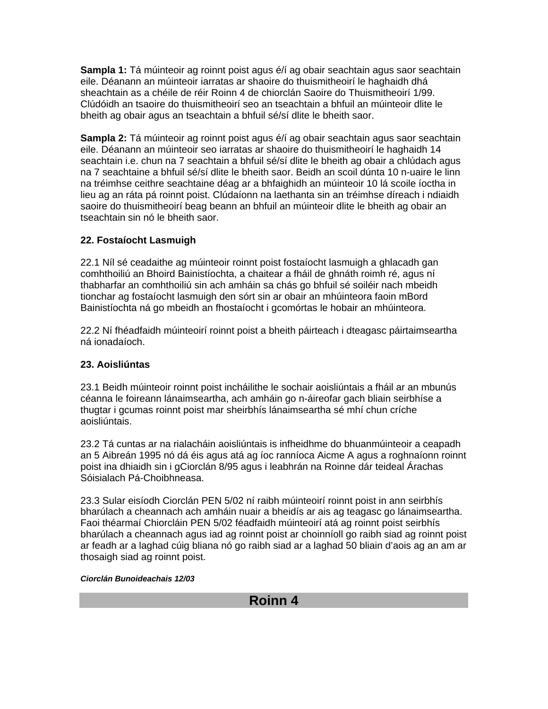**Sampla 1:** Tá múinteoir ag roinnt poist agus é/í ag obair seachtain agus saor seachtain eile. Déanann an múinteoir iarratas ar shaoire do thuismitheoirí le haghaidh dhá sheachtain as a chéile de réir Roinn 4 de chiorclán Saoire do Thuismitheoirí 1/99. Clúdóidh an tsaoire do thuismitheoirí seo an tseachtain a bhfuil an múinteoir dlite le bheith ag obair agus an tseachtain a bhfuil sé/sí dlite le bheith saor.

**Sampla 2:** Tá múinteoir ag roinnt poist agus é/í ag obair seachtain agus saor seachtain eile. Déanann an múinteoir seo iarratas ar shaoire do thuismitheoirí le haghaidh 14 seachtain i.e. chun na 7 seachtain a bhfuil sé/sí dlite le bheith ag obair a chlúdach agus na 7 seachtaine a bhfuil sé/sí dlite le bheith saor. Beidh an scoil dúnta 10 n-uaire le linn na tréimhse ceithre seachtaine déag ar a bhfaighidh an múinteoir 10 lá scoile íoctha in lieu ag an ráta pá roinnt poist. Clúdaíonn na laethanta sin an tréimhse díreach i ndiaidh saoire do thuismitheoirí beag beann an bhfuil an múinteoir dlite le bheith ag obair an tseachtain sin nó le bheith saor.

#### **22. Fostaíocht Lasmuigh**

22.1 Níl sé ceadaithe ag múinteoir roinnt poist fostaíocht lasmuigh a ghlacadh gan comhthoiliú an Bhoird Bainistíochta, a chaitear a fháil de ghnáth roimh ré, agus ní thabharfar an comhthoiliú sin ach amháin sa chás go bhfuil sé soiléir nach mbeidh tionchar ag fostaíocht lasmuigh den sórt sin ar obair an mhúinteora faoin mBord Bainistíochta ná go mbeidh an fhostaíocht i gcomórtas le hobair an mhúinteora.

22.2 Ní fhéadfaidh múinteoirí roinnt poist a bheith páirteach i dteagasc páirtaimseartha ná ionadaíoch.

#### **23. Aoisliúntas**

23.1 Beidh múinteoir roinnt poist incháilithe le sochair aoisliúntais a fháil ar an mbunús céanna le foireann lánaimseartha, ach amháin go n-áireofar gach bliain seirbhíse a thugtar i gcumas roinnt poist mar sheirbhís lánaimseartha sé mhí chun críche aoisliúntais.

23.2 Tá cuntas ar na rialacháin aoisliúntais is infheidhme do bhuanmúinteoir a ceapadh an 5 Aibreán 1995 nó dá éis agus atá ag íoc ranníoca Aicme A agus a roghnaíonn roinnt poist ina dhiaidh sin i gCiorclán 8/95 agus i leabhrán na Roinne dár teideal Árachas Sóisialach Pá-Choibhneasa.

23.3 Sular eisíodh Ciorclán PEN 5/02 ní raibh múinteoirí roinnt poist in ann seirbhís bharúlach a cheannach ach amháin nuair a bheidís ar ais ag teagasc go lánaimseartha. Faoi théarmaí Chiorcláin PEN 5/02 féadfaidh múinteoirí atá ag roinnt poist seirbhís bharúlach a cheannach agus iad ag roinnt poist ar choinníoll go raibh siad ag roinnt poist ar feadh ar a laghad cúig bliana nó go raibh siad ar a laghad 50 bliain d'aois ag an am ar thosaigh siad ag roinnt poist.

#### *Ciorclán Bunoideachais 12/03*

**Roinn 4**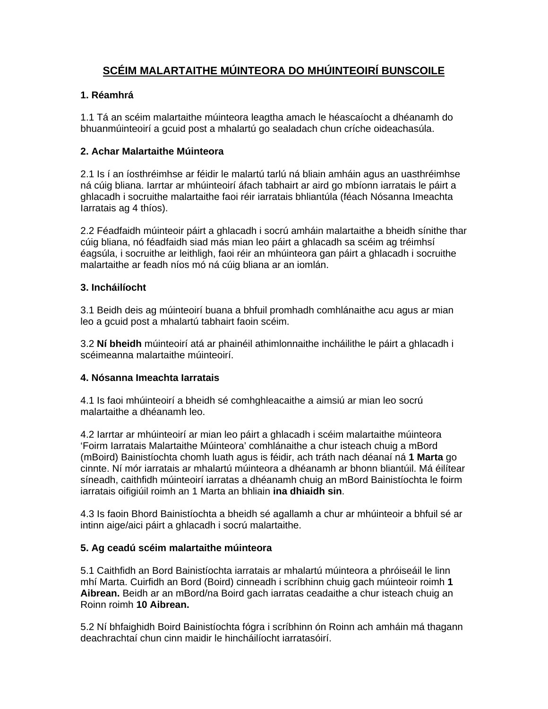### **SCÉIM MALARTAITHE MÚINTEORA DO MHÚINTEOIRÍ BUNSCOILE**

#### **1. Réamhrá**

1.1 Tá an scéim malartaithe múinteora leagtha amach le héascaíocht a dhéanamh do bhuanmúinteoirí a gcuid post a mhalartú go sealadach chun críche oideachasúla.

#### **2. Achar Malartaithe Múinteora**

2.1 Is í an íosthréimhse ar féidir le malartú tarlú ná bliain amháin agus an uasthréimhse ná cúig bliana. Iarrtar ar mhúinteoirí áfach tabhairt ar aird go mbíonn iarratais le páirt a ghlacadh i socruithe malartaithe faoi réir iarratais bhliantúla (féach Nósanna Imeachta Iarratais ag 4 thíos).

2.2 Féadfaidh múinteoir páirt a ghlacadh i socrú amháin malartaithe a bheidh sínithe thar cúig bliana, nó féadfaidh siad más mian leo páirt a ghlacadh sa scéim ag tréimhsí éagsúla, i socruithe ar leithligh, faoi réir an mhúinteora gan páirt a ghlacadh i socruithe malartaithe ar feadh níos mó ná cúig bliana ar an iomlán.

#### **3. Incháilíocht**

3.1 Beidh deis ag múinteoirí buana a bhfuil promhadh comhlánaithe acu agus ar mian leo a gcuid post a mhalartú tabhairt faoin scéim.

3.2 **Ní bheidh** múinteoirí atá ar phainéil athimlonnaithe incháilithe le páirt a ghlacadh i scéimeanna malartaithe múinteoirí.

#### **4. Nósanna Imeachta Iarratais**

4.1 Is faoi mhúinteoirí a bheidh sé comhghleacaithe a aimsiú ar mian leo socrú malartaithe a dhéanamh leo.

4.2 Iarrtar ar mhúinteoirí ar mian leo páirt a ghlacadh i scéim malartaithe múinteora 'Foirm Iarratais Malartaithe Múinteora' comhlánaithe a chur isteach chuig a mBord (mBoird) Bainistíochta chomh luath agus is féidir, ach tráth nach déanaí ná **1 Marta** go cinnte. Ní mór iarratais ar mhalartú múinteora a dhéanamh ar bhonn bliantúil. Má éilítear síneadh, caithfidh múinteoirí iarratas a dhéanamh chuig an mBord Bainistíochta le foirm iarratais oifigiúil roimh an 1 Marta an bhliain **ina dhiaidh sin**.

4.3 Is faoin Bhord Bainistíochta a bheidh sé agallamh a chur ar mhúinteoir a bhfuil sé ar intinn aige/aici páirt a ghlacadh i socrú malartaithe.

#### **5. Ag ceadú scéim malartaithe múinteora**

5.1 Caithfidh an Bord Bainistíochta iarratais ar mhalartú múinteora a phróiseáil le linn mhí Marta. Cuirfidh an Bord (Boird) cinneadh i scríbhinn chuig gach múinteoir roimh **1 Aibrean.** Beidh ar an mBord/na Boird gach iarratas ceadaithe a chur isteach chuig an Roinn roimh **10 Aibrean.** 

5.2 Ní bhfaighidh Boird Bainistíochta fógra i scríbhinn ón Roinn ach amháin má thagann deachrachtaí chun cinn maidir le hincháilíocht iarratasóirí.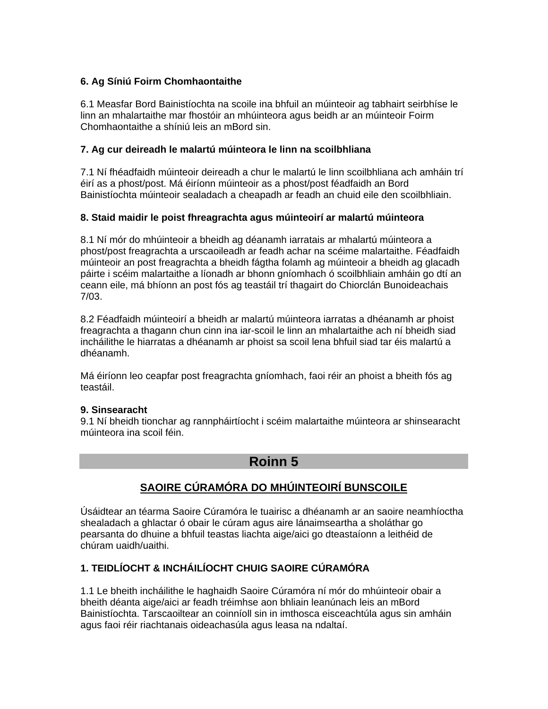#### **6. Ag Síniú Foirm Chomhaontaithe**

6.1 Measfar Bord Bainistíochta na scoile ina bhfuil an múinteoir ag tabhairt seirbhíse le linn an mhalartaithe mar fhostóir an mhúinteora agus beidh ar an múinteoir Foirm Chomhaontaithe a shíniú leis an mBord sin.

#### **7. Ag cur deireadh le malartú múinteora le linn na scoilbhliana**

7.1 Ní fhéadfaidh múinteoir deireadh a chur le malartú le linn scoilbhliana ach amháin trí éirí as a phost/post. Má éiríonn múinteoir as a phost/post féadfaidh an Bord Bainistíochta múinteoir sealadach a cheapadh ar feadh an chuid eile den scoilbhliain.

#### **8. Staid maidir le poist fhreagrachta agus múinteoirí ar malartú múinteora**

8.1 Ní mór do mhúinteoir a bheidh ag déanamh iarratais ar mhalartú múinteora a phost/post freagrachta a urscaoileadh ar feadh achar na scéime malartaithe. Féadfaidh múinteoir an post freagrachta a bheidh fágtha folamh ag múinteoir a bheidh ag glacadh páirte i scéim malartaithe a líonadh ar bhonn gníomhach ó scoilbhliain amháin go dtí an ceann eile, má bhíonn an post fós ag teastáil trí thagairt do Chiorclán Bunoideachais 7/03.

8.2 Féadfaidh múinteoirí a bheidh ar malartú múinteora iarratas a dhéanamh ar phoist freagrachta a thagann chun cinn ina iar-scoil le linn an mhalartaithe ach ní bheidh siad incháilithe le hiarratas a dhéanamh ar phoist sa scoil lena bhfuil siad tar éis malartú a dhéanamh.

Má éiríonn leo ceapfar post freagrachta gníomhach, faoi réir an phoist a bheith fós ag teastáil.

#### **9. Sinsearacht**

9.1 Ní bheidh tionchar ag rannpháirtíocht i scéim malartaithe múinteora ar shinsearacht múinteora ina scoil féin.

### **Roinn 5**

### **SAOIRE CÚRAMÓRA DO MHÚINTEOIRÍ BUNSCOILE**

Úsáidtear an téarma Saoire Cúramóra le tuairisc a dhéanamh ar an saoire neamhíoctha shealadach a ghlactar ó obair le cúram agus aire lánaimseartha a sholáthar go pearsanta do dhuine a bhfuil teastas liachta aige/aici go dteastaíonn a leithéid de chúram uaidh/uaithi.

#### **1. TEIDLÍOCHT & INCHÁILÍOCHT CHUIG SAOIRE CÚRAMÓRA**

1.1 Le bheith incháilithe le haghaidh Saoire Cúramóra ní mór do mhúinteoir obair a bheith déanta aige/aici ar feadh tréimhse aon bhliain leanúnach leis an mBord Bainistíochta. Tarscaoiltear an coinníoll sin in imthosca eisceachtúla agus sin amháin agus faoi réir riachtanais oideachasúla agus leasa na ndaltaí.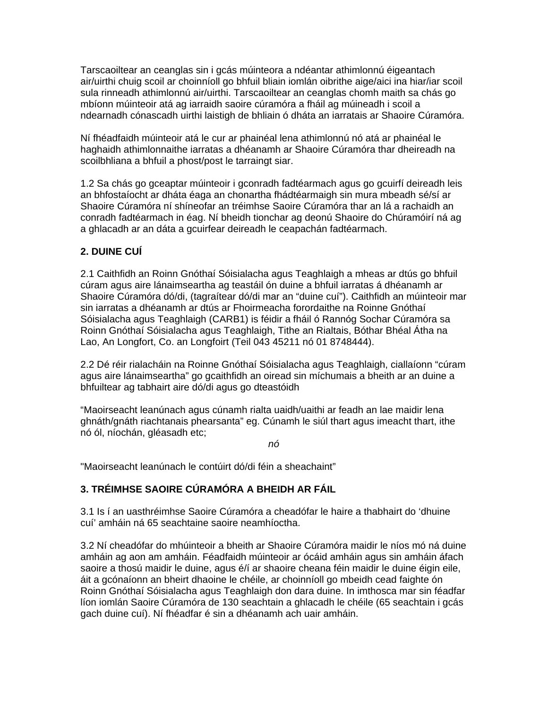Tarscaoiltear an ceanglas sin i gcás múinteora a ndéantar athimlonnú éigeantach air/uirthi chuig scoil ar choinníoll go bhfuil bliain iomlán oibrithe aige/aici ina hiar/iar scoil sula rinneadh athimlonnú air/uirthi. Tarscaoiltear an ceanglas chomh maith sa chás go mbíonn múinteoir atá ag iarraidh saoire cúramóra a fháil ag múineadh i scoil a ndearnadh cónascadh uirthi laistigh de bhliain ó dháta an iarratais ar Shaoire Cúramóra.

Ní fhéadfaidh múinteoir atá le cur ar phainéal lena athimlonnú nó atá ar phainéal le haghaidh athimlonnaithe iarratas a dhéanamh ar Shaoire Cúramóra thar dheireadh na scoilbhliana a bhfuil a phost/post le tarraingt siar.

1.2 Sa chás go gceaptar múinteoir i gconradh fadtéarmach agus go gcuirfí deireadh leis an bhfostaíocht ar dháta éaga an chonartha fhádtéarmaigh sin mura mbeadh sé/sí ar Shaoire Cúramóra ní shíneofar an tréimhse Saoire Cúramóra thar an lá a rachaidh an conradh fadtéarmach in éag. Ní bheidh tionchar ag deonú Shaoire do Chúramóirí ná ag a ghlacadh ar an dáta a gcuirfear deireadh le ceapachán fadtéarmach.

#### **2. DUINE CUÍ**

2.1 Caithfidh an Roinn Gnóthaí Sóisialacha agus Teaghlaigh a mheas ar dtús go bhfuil cúram agus aire lánaimseartha ag teastáil ón duine a bhfuil iarratas á dhéanamh ar Shaoire Cúramóra dó/di, (tagraítear dó/di mar an "duine cuí"). Caithfidh an múinteoir mar sin iarratas a dhéanamh ar dtús ar Fhoirmeacha forordaithe na Roinne Gnóthaí Sóisialacha agus Teaghlaigh (CARB1) is féidir a fháil ó Rannóg Sochar Cúramóra sa Roinn Gnóthaí Sóisialacha agus Teaghlaigh, Tithe an Rialtais, Bóthar Bhéal Átha na Lao, An Longfort, Co. an Longfoirt (Teil 043 45211 nó 01 8748444).

2.2 Dé réir rialacháin na Roinne Gnóthaí Sóisialacha agus Teaghlaigh, ciallaíonn "cúram agus aire lánaimseartha" go gcaithfidh an oiread sin míchumais a bheith ar an duine a bhfuiltear ag tabhairt aire dó/di agus go dteastóidh

"Maoirseacht leanúnach agus cúnamh rialta uaidh/uaithi ar feadh an lae maidir lena ghnáth/gnáth riachtanais phearsanta" eg. Cúnamh le siúl thart agus imeacht thart, ithe nó ól, níochán, gléasadh etc;

*nó* 

"Maoirseacht leanúnach le contúirt dó/di féin a sheachaint"

#### **3. TRÉIMHSE SAOIRE CÚRAMÓRA A BHEIDH AR FÁIL**

3.1 Is í an uasthréimhse Saoire Cúramóra a cheadófar le haire a thabhairt do 'dhuine cuí' amháin ná 65 seachtaine saoire neamhíoctha.

3.2 Ní cheadófar do mhúinteoir a bheith ar Shaoire Cúramóra maidir le níos mó ná duine amháin ag aon am amháin. Féadfaidh múinteoir ar ócáid amháin agus sin amháin áfach saoire a thosú maidir le duine, agus é/í ar shaoire cheana féin maidir le duine éigin eile, áit a gcónaíonn an bheirt dhaoine le chéile, ar choinníoll go mbeidh cead faighte ón Roinn Gnóthaí Sóisialacha agus Teaghlaigh don dara duine. In imthosca mar sin féadfar líon iomlán Saoire Cúramóra de 130 seachtain a ghlacadh le chéile (65 seachtain i gcás gach duine cuí). Ní fhéadfar é sin a dhéanamh ach uair amháin.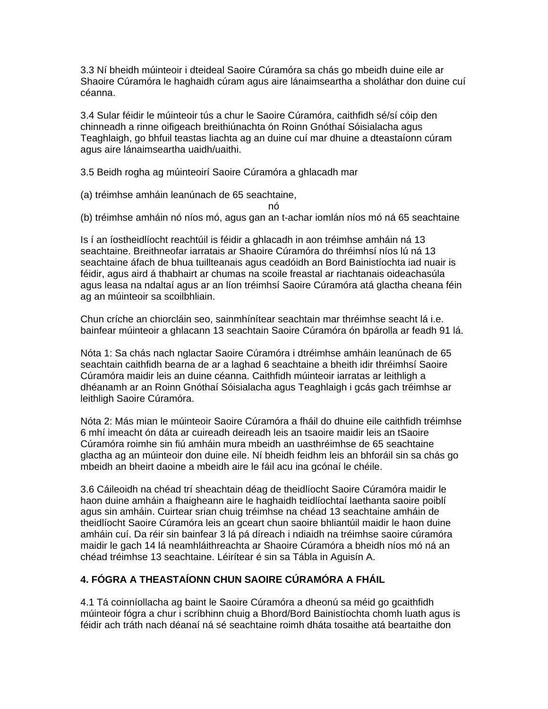3.3 Ní bheidh múinteoir i dteideal Saoire Cúramóra sa chás go mbeidh duine eile ar Shaoire Cúramóra le haghaidh cúram agus aire lánaimseartha a sholáthar don duine cuí céanna.

3.4 Sular féidir le múinteoir tús a chur le Saoire Cúramóra, caithfidh sé/sí cóip den chinneadh a rinne oifigeach breithiúnachta ón Roinn Gnóthaí Sóisialacha agus Teaghlaigh, go bhfuil teastas liachta ag an duine cuí mar dhuine a dteastaíonn cúram agus aire lánaimseartha uaidh/uaithi.

3.5 Beidh rogha ag múinteoirí Saoire Cúramóra a ghlacadh mar

(a) tréimhse amháin leanúnach de 65 seachtaine,

nó

(b) tréimhse amháin nó níos mó, agus gan an t-achar iomlán níos mó ná 65 seachtaine

Is í an íostheidlíocht reachtúil is féidir a ghlacadh in aon tréimhse amháin ná 13 seachtaine. Breithneofar iarratais ar Shaoire Cúramóra do thréimhsí níos lú ná 13 seachtaine áfach de bhua tuillteanais agus ceadóidh an Bord Bainistíochta iad nuair is féidir, agus aird á thabhairt ar chumas na scoile freastal ar riachtanais oideachasúla agus leasa na ndaltaí agus ar an líon tréimhsí Saoire Cúramóra atá glactha cheana féin ag an múinteoir sa scoilbhliain.

Chun críche an chiorcláin seo, sainmhínítear seachtain mar thréimhse seacht lá i.e. bainfear múinteoir a ghlacann 13 seachtain Saoire Cúramóra ón bpárolla ar feadh 91 lá.

Nóta 1: Sa chás nach nglactar Saoire Cúramóra i dtréimhse amháin leanúnach de 65 seachtain caithfidh bearna de ar a laghad 6 seachtaine a bheith idir thréimhsí Saoire Cúramóra maidir leis an duine céanna. Caithfidh múinteoir iarratas ar leithligh a dhéanamh ar an Roinn Gnóthaí Sóisialacha agus Teaghlaigh i gcás gach tréimhse ar leithligh Saoire Cúramóra.

Nóta 2: Más mian le múinteoir Saoire Cúramóra a fháil do dhuine eile caithfidh tréimhse 6 mhí imeacht ón dáta ar cuireadh deireadh leis an tsaoire maidir leis an tSaoire Cúramóra roimhe sin fiú amháin mura mbeidh an uasthréimhse de 65 seachtaine glactha ag an múinteoir don duine eile. Ní bheidh feidhm leis an bhforáil sin sa chás go mbeidh an bheirt daoine a mbeidh aire le fáil acu ina gcónaí le chéile.

3.6 Cáileoidh na chéad trí sheachtain déag de theidlíocht Saoire Cúramóra maidir le haon duine amháin a fhaigheann aire le haghaidh teidlíochtaí laethanta saoire poiblí agus sin amháin. Cuirtear srian chuig tréimhse na chéad 13 seachtaine amháin de theidlíocht Saoire Cúramóra leis an gceart chun saoire bhliantúil maidir le haon duine amháin cuí. Da réir sin bainfear 3 lá pá díreach i ndiaidh na tréimhse saoire cúramóra maidir le gach 14 lá neamhláithreachta ar Shaoire Cúramóra a bheidh níos mó ná an chéad tréimhse 13 seachtaine. Léirítear é sin sa Tábla in Aguisín A.

#### **4. FÓGRA A THEASTAÍONN CHUN SAOIRE CÚRAMÓRA A FHÁIL**

4.1 Tá coinníollacha ag baint le Saoire Cúramóra a dheonú sa méid go gcaithfidh múinteoir fógra a chur i scríbhinn chuig a Bhord/Bord Bainistíochta chomh luath agus is féidir ach tráth nach déanaí ná sé seachtaine roimh dháta tosaithe atá beartaithe don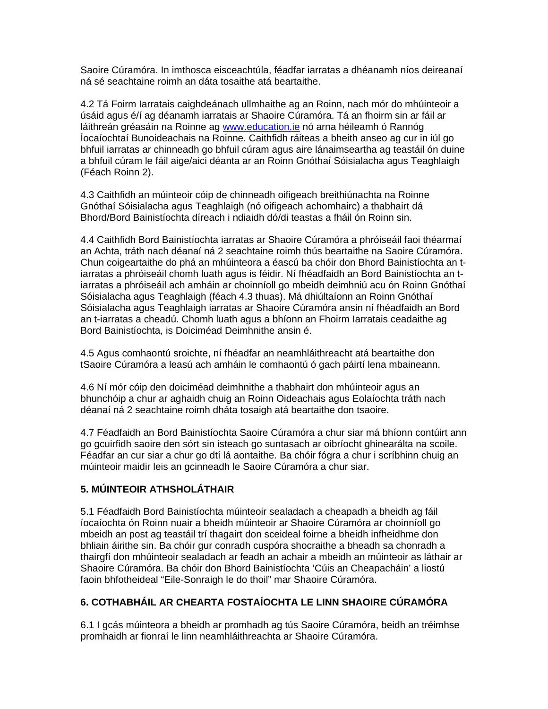Saoire Cúramóra. In imthosca eisceachtúla, féadfar iarratas a dhéanamh níos deireanaí ná sé seachtaine roimh an dáta tosaithe atá beartaithe.

4.2 Tá Foirm Iarratais caighdeánach ullmhaithe ag an Roinn, nach mór do mhúinteoir a úsáid agus é/í ag déanamh iarratais ar Shaoire Cúramóra. Tá an fhoirm sin ar fáil ar láithreán gréasáin na Roinne ag [www.education.ie](http://www.education.ie/) nó arna héileamh ó Rannóg Íocaíochtaí Bunoideachais na Roinne. Caithfidh ráiteas a bheith anseo ag cur in iúl go bhfuil iarratas ar chinneadh go bhfuil cúram agus aire lánaimseartha ag teastáil ón duine a bhfuil cúram le fáil aige/aici déanta ar an Roinn Gnóthaí Sóisialacha agus Teaghlaigh (Féach Roinn 2).

4.3 Caithfidh an múinteoir cóip de chinneadh oifigeach breithiúnachta na Roinne Gnóthaí Sóisialacha agus Teaghlaigh (nó oifigeach achomhairc) a thabhairt dá Bhord/Bord Bainistíochta díreach i ndiaidh dó/di teastas a fháil ón Roinn sin.

4.4 Caithfidh Bord Bainistíochta iarratas ar Shaoire Cúramóra a phróiseáil faoi théarmaí an Achta, tráth nach déanaí ná 2 seachtaine roimh thús beartaithe na Saoire Cúramóra. Chun coigeartaithe do phá an mhúinteora a éascú ba chóir don Bhord Bainistíochta an tiarratas a phróiseáil chomh luath agus is féidir. Ní fhéadfaidh an Bord Bainistíochta an tiarratas a phróiseáil ach amháin ar choinníoll go mbeidh deimhniú acu ón Roinn Gnóthaí Sóisialacha agus Teaghlaigh (féach 4.3 thuas). Má dhiúltaíonn an Roinn Gnóthaí Sóisialacha agus Teaghlaigh iarratas ar Shaoire Cúramóra ansin ní fhéadfaidh an Bord an t-iarratas a cheadú. Chomh luath agus a bhíonn an Fhoirm Iarratais ceadaithe ag Bord Bainistíochta, is Doiciméad Deimhnithe ansin é.

4.5 Agus comhaontú sroichte, ní fhéadfar an neamhláithreacht atá beartaithe don tSaoire Cúramóra a leasú ach amháin le comhaontú ó gach páirtí lena mbaineann.

4.6 Ní mór cóip den doiciméad deimhnithe a thabhairt don mhúinteoir agus an bhunchóip a chur ar aghaidh chuig an Roinn Oideachais agus Eolaíochta tráth nach déanaí ná 2 seachtaine roimh dháta tosaigh atá beartaithe don tsaoire.

4.7 Féadfaidh an Bord Bainistíochta Saoire Cúramóra a chur siar má bhíonn contúirt ann go gcuirfidh saoire den sórt sin isteach go suntasach ar oibríocht ghinearálta na scoile. Féadfar an cur siar a chur go dtí lá aontaithe. Ba chóir fógra a chur i scríbhinn chuig an múinteoir maidir leis an gcinneadh le Saoire Cúramóra a chur siar.

#### **5. MÚINTEOIR ATHSHOLÁTHAIR**

5.1 Féadfaidh Bord Bainistíochta múinteoir sealadach a cheapadh a bheidh ag fáil íocaíochta ón Roinn nuair a bheidh múinteoir ar Shaoire Cúramóra ar choinníoll go mbeidh an post ag teastáil trí thagairt don sceideal foirne a bheidh infheidhme don bhliain áirithe sin. Ba chóir gur conradh cuspóra shocraithe a bheadh sa chonradh a thairgfí don mhúinteoir sealadach ar feadh an achair a mbeidh an múinteoir as láthair ar Shaoire Cúramóra. Ba chóir don Bhord Bainistíochta 'Cúis an Cheapacháin' a liostú faoin bhfotheideal "Eile-Sonraigh le do thoil" mar Shaoire Cúramóra.

#### **6. COTHABHÁIL AR CHEARTA FOSTAÍOCHTA LE LINN SHAOIRE CÚRAMÓRA**

6.1 I gcás múinteora a bheidh ar promhadh ag tús Saoire Cúramóra, beidh an tréimhse promhaidh ar fionraí le linn neamhláithreachta ar Shaoire Cúramóra.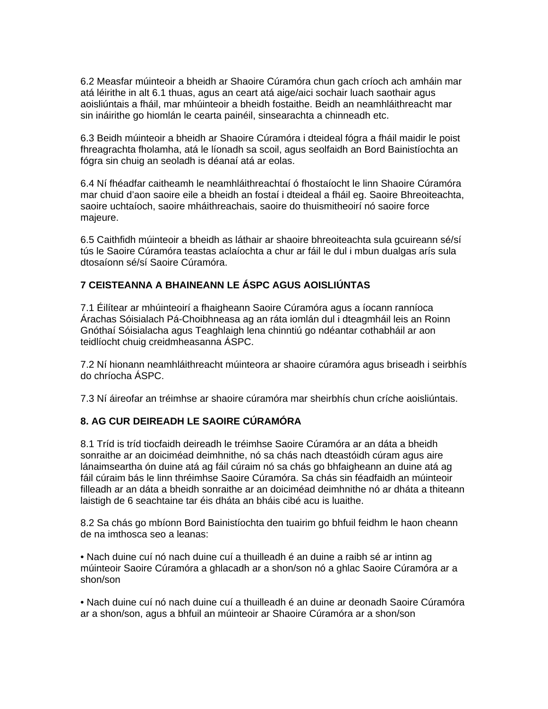6.2 Measfar múinteoir a bheidh ar Shaoire Cúramóra chun gach críoch ach amháin mar atá léirithe in alt 6.1 thuas, agus an ceart atá aige/aici sochair luach saothair agus aoisliúntais a fháil, mar mhúinteoir a bheidh fostaithe. Beidh an neamhláithreacht mar sin ináirithe go hiomlán le cearta painéil, sinsearachta a chinneadh etc.

6.3 Beidh múinteoir a bheidh ar Shaoire Cúramóra i dteideal fógra a fháil maidir le poist fhreagrachta fholamha, atá le líonadh sa scoil, agus seolfaidh an Bord Bainistíochta an fógra sin chuig an seoladh is déanaí atá ar eolas.

6.4 Ní fhéadfar caitheamh le neamhláithreachtaí ó fhostaíocht le linn Shaoire Cúramóra mar chuid d'aon saoire eile a bheidh an fostaí i dteideal a fháil eg. Saoire Bhreoiteachta, saoire uchtaíoch, saoire mháithreachais, saoire do thuismitheoirí nó saoire force majeure.

6.5 Caithfidh múinteoir a bheidh as láthair ar shaoire bhreoiteachta sula gcuireann sé/sí tús le Saoire Cúramóra teastas aclaíochta a chur ar fáil le dul i mbun dualgas arís sula dtosaíonn sé/sí Saoire Cúramóra.

#### **7 CEISTEANNA A BHAINEANN LE ÁSPC AGUS AOISLIÚNTAS**

7.1 Éilítear ar mhúinteoirí a fhaigheann Saoire Cúramóra agus a íocann ranníoca Árachas Sóisialach Pá-Choibhneasa ag an ráta iomlán dul i dteagmháil leis an Roinn Gnóthaí Sóisialacha agus Teaghlaigh lena chinntiú go ndéantar cothabháil ar aon teidlíocht chuig creidmheasanna ÁSPC.

7.2 Ní hionann neamhláithreacht múinteora ar shaoire cúramóra agus briseadh i seirbhís do chríocha ÁSPC.

7.3 Ní áireofar an tréimhse ar shaoire cúramóra mar sheirbhís chun críche aoisliúntais.

#### **8. AG CUR DEIREADH LE SAOIRE CÚRAMÓRA**

8.1 Tríd is tríd tiocfaidh deireadh le tréimhse Saoire Cúramóra ar an dáta a bheidh sonraithe ar an doiciméad deimhnithe, nó sa chás nach dteastóidh cúram agus aire lánaimseartha ón duine atá ag fáil cúraim nó sa chás go bhfaigheann an duine atá ag fáil cúraim bás le linn thréimhse Saoire Cúramóra. Sa chás sin féadfaidh an múinteoir filleadh ar an dáta a bheidh sonraithe ar an doiciméad deimhnithe nó ar dháta a thiteann laistigh de 6 seachtaine tar éis dháta an bháis cibé acu is luaithe.

8.2 Sa chás go mbíonn Bord Bainistíochta den tuairim go bhfuil feidhm le haon cheann de na imthosca seo a leanas:

• Nach duine cuí nó nach duine cuí a thuilleadh é an duine a raibh sé ar intinn ag múinteoir Saoire Cúramóra a ghlacadh ar a shon/son nó a ghlac Saoire Cúramóra ar a shon/son

• Nach duine cuí nó nach duine cuí a thuilleadh é an duine ar deonadh Saoire Cúramóra ar a shon/son, agus a bhfuil an múinteoir ar Shaoire Cúramóra ar a shon/son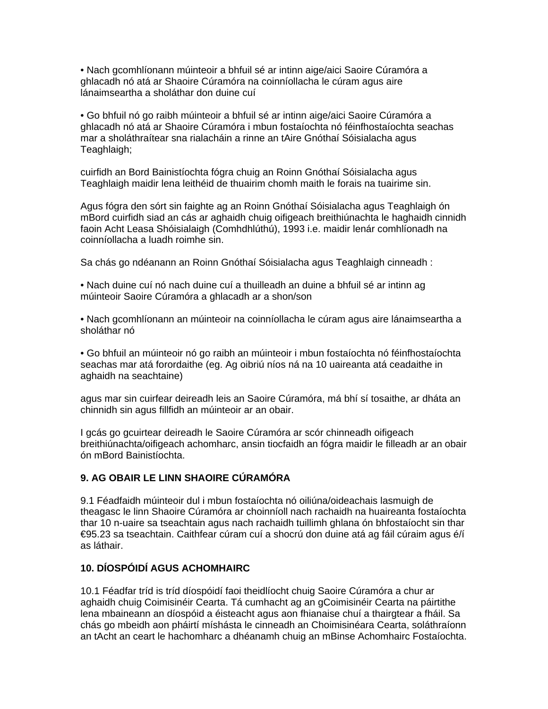• Nach gcomhlíonann múinteoir a bhfuil sé ar intinn aige/aici Saoire Cúramóra a ghlacadh nó atá ar Shaoire Cúramóra na coinníollacha le cúram agus aire lánaimseartha a sholáthar don duine cuí

• Go bhfuil nó go raibh múinteoir a bhfuil sé ar intinn aige/aici Saoire Cúramóra a ghlacadh nó atá ar Shaoire Cúramóra i mbun fostaíochta nó féinfhostaíochta seachas mar a sholáthraítear sna rialacháin a rinne an tAire Gnóthaí Sóisialacha agus Teaghlaigh;

cuirfidh an Bord Bainistíochta fógra chuig an Roinn Gnóthaí Sóisialacha agus Teaghlaigh maidir lena leithéid de thuairim chomh maith le forais na tuairime sin.

Agus fógra den sórt sin faighte ag an Roinn Gnóthaí Sóisialacha agus Teaghlaigh ón mBord cuirfidh siad an cás ar aghaidh chuig oifigeach breithiúnachta le haghaidh cinnidh faoin Acht Leasa Shóisialaigh (Comhdhlúthú), 1993 i.e. maidir lenár comhlíonadh na coinníollacha a luadh roimhe sin.

Sa chás go ndéanann an Roinn Gnóthaí Sóisialacha agus Teaghlaigh cinneadh :

• Nach duine cuí nó nach duine cuí a thuilleadh an duine a bhfuil sé ar intinn ag múinteoir Saoire Cúramóra a ghlacadh ar a shon/son

• Nach gcomhlíonann an múinteoir na coinníollacha le cúram agus aire lánaimseartha a sholáthar nó

• Go bhfuil an múinteoir nó go raibh an múinteoir i mbun fostaíochta nó féinfhostaíochta seachas mar atá forordaithe (eg. Ag oibriú níos ná na 10 uaireanta atá ceadaithe in aghaidh na seachtaine)

agus mar sin cuirfear deireadh leis an Saoire Cúramóra, má bhí sí tosaithe, ar dháta an chinnidh sin agus fillfidh an múinteoir ar an obair.

I gcás go gcuirtear deireadh le Saoire Cúramóra ar scór chinneadh oifigeach breithiúnachta/oifigeach achomharc, ansin tiocfaidh an fógra maidir le filleadh ar an obair ón mBord Bainistíochta.

#### **9. AG OBAIR LE LINN SHAOIRE CÚRAMÓRA**

9.1 Féadfaidh múinteoir dul i mbun fostaíochta nó oiliúna/oideachais lasmuigh de theagasc le linn Shaoire Cúramóra ar choinníoll nach rachaidh na huaireanta fostaíochta thar 10 n-uaire sa tseachtain agus nach rachaidh tuillimh ghlana ón bhfostaíocht sin thar €95.23 sa tseachtain. Caithfear cúram cuí a shocrú don duine atá ag fáil cúraim agus é/í as láthair.

#### **10. DÍOSPÓIDÍ AGUS ACHOMHAIRC**

10.1 Féadfar tríd is tríd díospóidí faoi theidlíocht chuig Saoire Cúramóra a chur ar aghaidh chuig Coimisinéir Cearta. Tá cumhacht ag an gCoimisinéir Cearta na páirtithe lena mbaineann an díospóid a éisteacht agus aon fhianaise chuí a thairgtear a fháil. Sa chás go mbeidh aon pháirtí míshásta le cinneadh an Choimisinéara Cearta, soláthraíonn an tAcht an ceart le hachomharc a dhéanamh chuig an mBinse Achomhairc Fostaíochta.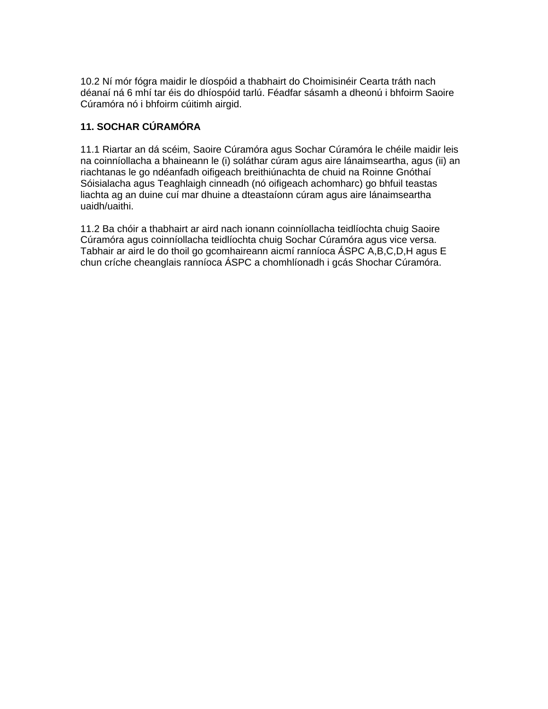10.2 Ní mór fógra maidir le díospóid a thabhairt do Choimisinéir Cearta tráth nach déanaí ná 6 mhí tar éis do dhíospóid tarlú. Féadfar sásamh a dheonú i bhfoirm Saoire Cúramóra nó i bhfoirm cúitimh airgid.

#### **11. SOCHAR CÚRAMÓRA**

11.1 Riartar an dá scéim, Saoire Cúramóra agus Sochar Cúramóra le chéile maidir leis na coinníollacha a bhaineann le (i) soláthar cúram agus aire lánaimseartha, agus (ii) an riachtanas le go ndéanfadh oifigeach breithiúnachta de chuid na Roinne Gnóthaí Sóisialacha agus Teaghlaigh cinneadh (nó oifigeach achomharc) go bhfuil teastas liachta ag an duine cuí mar dhuine a dteastaíonn cúram agus aire lánaimseartha uaidh/uaithi.

11.2 Ba chóir a thabhairt ar aird nach ionann coinníollacha teidlíochta chuig Saoire Cúramóra agus coinníollacha teidlíochta chuig Sochar Cúramóra agus vice versa. Tabhair ar aird le do thoil go gcomhaireann aicmí ranníoca ÁSPC A,B,C,D,H agus E chun críche cheanglais ranníoca ÁSPC a chomhlíonadh i gcás Shochar Cúramóra.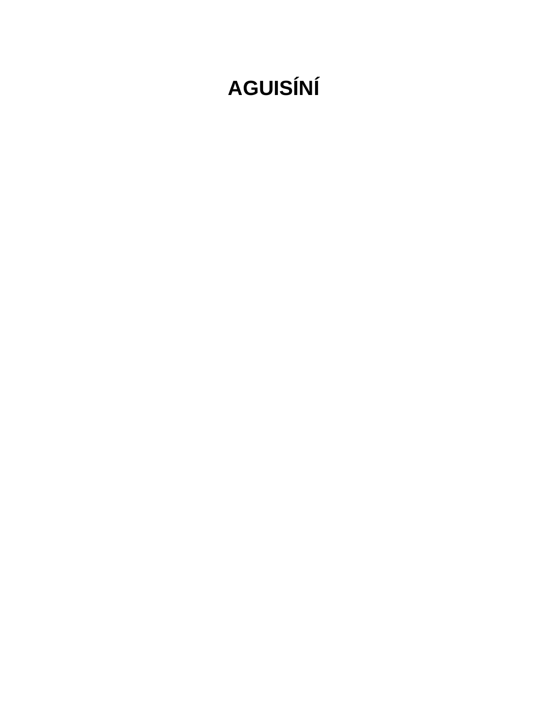# **AGUISÍNÍ**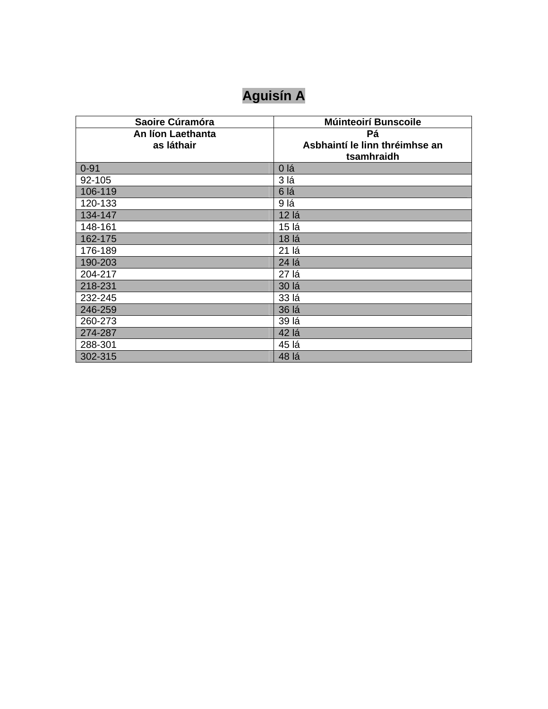## **Aguisín A**

| Saoire Cúramóra   | <b>Múinteoirí Bunscoile</b>    |
|-------------------|--------------------------------|
| An líon Laethanta | Pá                             |
| as láthair        | Asbhaintí le linn thréimhse an |
|                   | tsamhraidh                     |
| $0 - 91$          | 0 lá                           |
| 92-105            | 3 lá                           |
| 106-119           | 6 lá                           |
| 120-133           | 9 lá                           |
| 134-147           | 12 lá                          |
| 148-161           | 15 lá                          |
| 162-175           | 18 lá                          |
| 176-189           | 21 lá                          |
| 190-203           | 24 lá                          |
| 204-217           | 27 lá                          |
| 218-231           | 30 lá                          |
| 232-245           | 33 lá                          |
| 246-259           | 36 lá                          |
| 260-273           | 39 lá                          |
| 274-287           | 42 lá                          |
| 288-301           | 45 lá                          |
| 302-315           | 48 lá                          |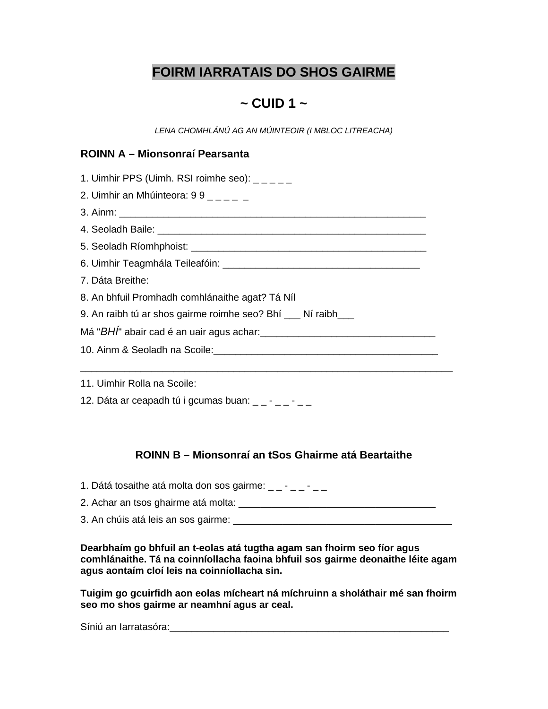### **FOIRM IARRATAIS DO SHOS GAIRME**

### **~ CUID 1 ~**

*LENA CHOMHLÁNÚ AG AN MÚINTEOIR (I MBLOC LITREACHA)* 

#### **ROINN A – Mionsonraí Pearsanta**

| 1. Uimhir PPS (Uimh. RSI roimhe seo): $\angle$ $\angle$ $\angle$ $\angle$ $\angle$ $\angle$      |
|--------------------------------------------------------------------------------------------------|
| 2. Uimhir an Mhúinteora: $99 - - -$                                                              |
|                                                                                                  |
|                                                                                                  |
|                                                                                                  |
|                                                                                                  |
| 7. Dáta Breithe:                                                                                 |
| 8. An bhfuil Promhadh comhlánaithe agat? Tá Níl                                                  |
| 9. An raibh tú ar shos gairme roimhe seo? Bhí __ Ní raibh__                                      |
| Má "BHÍ" abair cad é an uair agus achar:<br>Má "BHÍ" abair cad é an uair agus achar:<br>Má "BHÍ" |
|                                                                                                  |
|                                                                                                  |
| 11. Uimhir Rolla na Scoile:                                                                      |
| 12. Dáta ar ceapadh tú i gcumas buan: $- - - - -$                                                |

#### **ROINN B – Mionsonraí an tSos Ghairme atá Beartaithe**

1. Dátá tosaithe atá molta don sos gairme:  $\frac{1}{2} - \frac{1}{2} - \frac{1}{2} - \frac{1}{2}$ 2. Achar an tsos ghairme atá molta: \_\_\_\_\_\_\_\_\_\_\_\_\_\_\_\_\_\_\_\_\_\_\_\_\_\_\_\_\_\_\_\_\_\_\_\_

3. An chúis atá leis an sos gairme: \_\_\_\_\_\_\_\_\_\_\_\_\_\_\_\_\_\_\_\_\_\_\_\_\_\_\_\_\_\_\_\_\_\_\_\_\_\_\_\_

**Dearbhaím go bhfuil an t-eolas atá tugtha agam san fhoirm seo fíor agus comhlánaithe. Tá na coinníollacha faoina bhfuil sos gairme deonaithe léite agam agus aontaím cloí leis na coinníollacha sin.** 

**Tuigim go gcuirfidh aon eolas mícheart ná míchruinn a sholáthair mé san fhoirm seo mo shos gairme ar neamhní agus ar ceal.** 

Síniú an Iarratasóra: eta alamanyi alamanyi samanyi alamanyi samanyi sa manyi sa manyi sa manyi sa manyi sa ma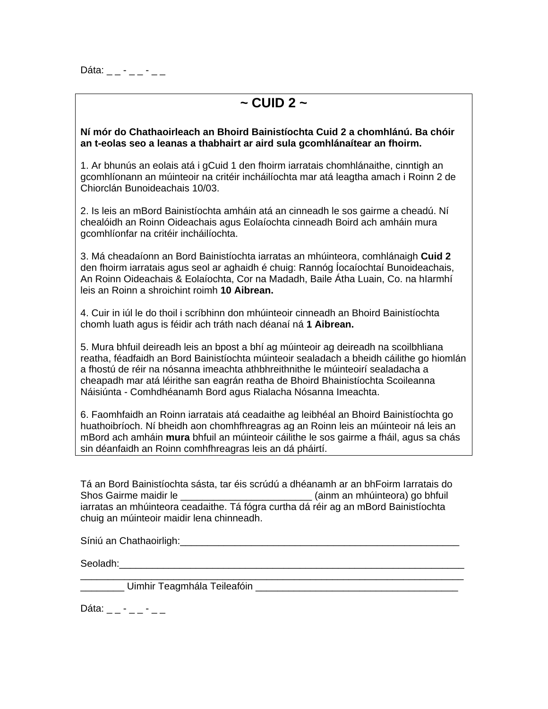Dáta:  $\frac{1}{2}$  -  $\frac{1}{2}$  -  $\frac{1}{2}$  -  $\frac{1}{2}$ 

### **~ CUID 2 ~**

#### **Ní mór do Chathaoirleach an Bhoird Bainistíochta Cuid 2 a chomhlánú. Ba chóir an t-eolas seo a leanas a thabhairt ar aird sula gcomhlánaítear an fhoirm.**

1. Ar bhunús an eolais atá i gCuid 1 den fhoirm iarratais chomhlánaithe, cinntigh an gcomhlíonann an múinteoir na critéir incháilíochta mar atá leagtha amach i Roinn 2 de Chiorclán Bunoideachais 10/03.

2. Is leis an mBord Bainistíochta amháin atá an cinneadh le sos gairme a cheadú. Ní chealóidh an Roinn Oideachais agus Eolaíochta cinneadh Boird ach amháin mura gcomhlíonfar na critéir incháilíochta.

3. Má cheadaíonn an Bord Bainistíochta iarratas an mhúinteora, comhlánaigh **Cuid 2** den fhoirm iarratais agus seol ar aghaidh é chuig: Rannóg Íocaíochtaí Bunoideachais, An Roinn Oideachais & Eolaíochta, Cor na Madadh, Baile Átha Luain, Co. na hIarmhí leis an Roinn a shroichint roimh **10 Aibrean.**

4. Cuir in iúl le do thoil i scríbhinn don mhúinteoir cinneadh an Bhoird Bainistíochta chomh luath agus is féidir ach tráth nach déanaí ná **1 Aibrean.** 

5. Mura bhfuil deireadh leis an bpost a bhí ag múinteoir ag deireadh na scoilbhliana reatha, féadfaidh an Bord Bainistíochta múinteoir sealadach a bheidh cáilithe go hiomlán a fhostú de réir na nósanna imeachta athbhreithnithe le múinteoirí sealadacha a cheapadh mar atá léirithe san eagrán reatha de Bhoird Bhainistíochta Scoileanna Náisiúnta - Comhdhéanamh Bord agus Rialacha Nósanna Imeachta.

6. Faomhfaidh an Roinn iarratais atá ceadaithe ag leibhéal an Bhoird Bainistíochta go huathoibríoch. Ní bheidh aon chomhfhreagras ag an Roinn leis an múinteoir ná leis an mBord ach amháin **mura** bhfuil an múinteoir cáilithe le sos gairme a fháil, agus sa chás sin déanfaidh an Roinn comhfhreagras leis an dá pháirtí.

Tá an Bord Bainistíochta sásta, tar éis scrúdú a dhéanamh ar an bhFoirm Iarratais do Shos Gairme maidir le \_\_\_\_\_\_\_\_\_\_\_\_\_\_\_\_\_\_\_\_\_\_\_\_\_\_\_\_\_\_ (ainm an mhúinteora) go bhfuil iarratas an mhúinteora ceadaithe. Tá fógra curtha dá réir ag an mBord Bainistíochta chuig an múinteoir maidir lena chinneadh.

 $\overline{\phantom{a}}$  , and the contract of the contract of the contract of the contract of the contract of the contract of the contract of the contract of the contract of the contract of the contract of the contract of the contrac

Síniú an Chathaoirligh:\_\_\_\_\_\_\_\_\_\_\_\_\_\_\_\_\_\_\_\_\_\_\_\_\_\_\_\_\_\_\_\_\_\_\_\_\_\_\_\_\_\_\_\_\_\_\_\_\_\_\_

Seoladh:

Uimhir Teagmhála Teileafóin **Eugeanach agus an t-inteileach** 

Dáta:  $\frac{1}{2}$   $\frac{1}{2}$   $\frac{1}{2}$   $\frac{1}{2}$   $\frac{1}{2}$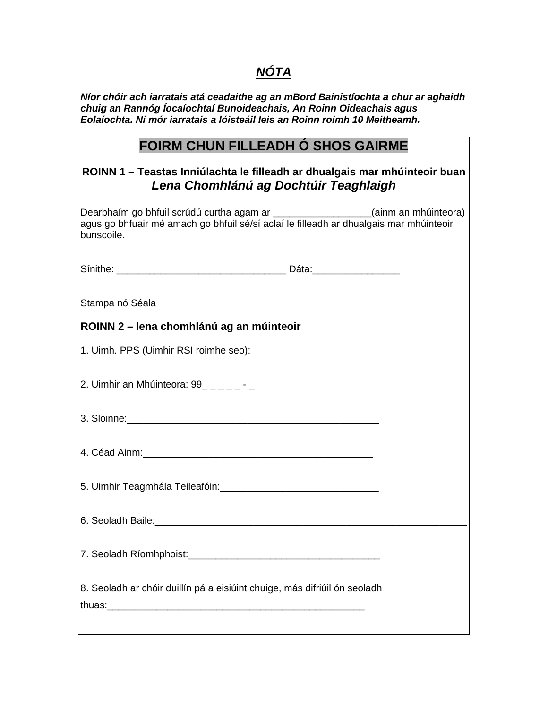### *NÓTA*

*Níor chóir ach iarratais atá ceadaithe ag an mBord Bainistíochta a chur ar aghaidh chuig an Rannóg Íocaíochtaí Bunoideachais, An Roinn Oideachais agus Eolaíochta. Ní mór iarratais a lóisteáil leis an Roinn roimh 10 Meitheamh.* 

### **FOIRM CHUN FILLEADH Ó SHOS GAIRME**

#### **ROINN 1 – Teastas Inniúlachta le filleadh ar dhualgais mar mhúinteoir buan**  *Lena Chomhlánú ag Dochtúir Teaghlaigh*

| Dearbhaim go bhfuil scrúdú curtha agam ar __________________(ainm an mhúinteora)<br>agus go bhfuair mé amach go bhfuil sé/sí aclaí le filleadh ar dhualgais mar mhúinteoir<br>bunscoile. |  |
|------------------------------------------------------------------------------------------------------------------------------------------------------------------------------------------|--|
|                                                                                                                                                                                          |  |
| Stampa nó Séala                                                                                                                                                                          |  |
| ROINN 2 – lena chomhlánú ag an múinteoir                                                                                                                                                 |  |
| 1. Uimh. PPS (Uimhir RSI roimhe seo):                                                                                                                                                    |  |
| 2. Uimhir an Mhúinteora: 99_____-_-                                                                                                                                                      |  |
|                                                                                                                                                                                          |  |
|                                                                                                                                                                                          |  |
|                                                                                                                                                                                          |  |
|                                                                                                                                                                                          |  |
|                                                                                                                                                                                          |  |
| 8. Seoladh ar chóir duillín pá a eisiúint chuige, más difriúil ón seoladh                                                                                                                |  |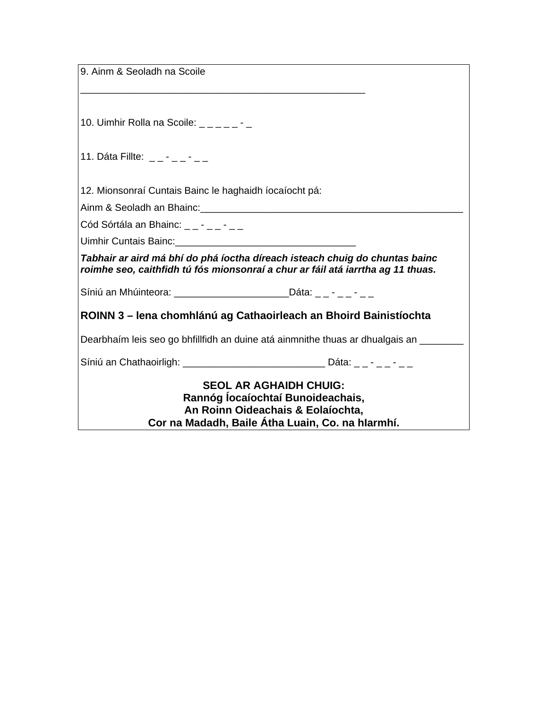| 9. Ainm & Seoladh na Scoile                                                         |                                                                                   |
|-------------------------------------------------------------------------------------|-----------------------------------------------------------------------------------|
|                                                                                     |                                                                                   |
|                                                                                     |                                                                                   |
| 10. Uimhir Rolla na Scoile: $\frac{1}{2}$ $\frac{1}{2}$ $\frac{1}{2}$ $\frac{1}{2}$ |                                                                                   |
|                                                                                     |                                                                                   |
| 11. Dáta Fillte: $- - - - -$                                                        |                                                                                   |
|                                                                                     |                                                                                   |
| 12. Mionsonraí Cuntais Bainc le haghaidh íocaíocht pá:                              |                                                                                   |
|                                                                                     |                                                                                   |
| Cód Sórtála an Bhainc: $- - - - -$                                                  |                                                                                   |
| Uimhir Cuntais Bainc: <b>Example 2018</b>                                           |                                                                                   |
|                                                                                     | Tabhair ar aird má bhí do phá íoctha díreach isteach chuig do chuntas bainc       |
|                                                                                     | roimhe seo, caithfidh tú fós mionsonraí a chur ar fáil atá iarrtha ag 11 thuas.   |
|                                                                                     |                                                                                   |
|                                                                                     | ROINN 3 - lena chomhlánú ag Cathaoirleach an Bhoird Bainistíochta                 |
|                                                                                     |                                                                                   |
|                                                                                     | Dearbhaim leis seo go bhfillfidh an duine atá ainmnithe thuas ar dhualgais an     |
|                                                                                     | Síniú an Chathaoirligh: ___________________________________ Dáta: _ _ - _ _ - _ _ |
|                                                                                     | <b>SEOL AR AGHAIDH CHUIG:</b>                                                     |
|                                                                                     | Rannóg locaíochtaí Bunoideachais,                                                 |
|                                                                                     | An Roinn Oideachais & Eolaíochta,                                                 |
|                                                                                     | Cor na Madadh, Baile Átha Luain, Co. na hIarmhí.                                  |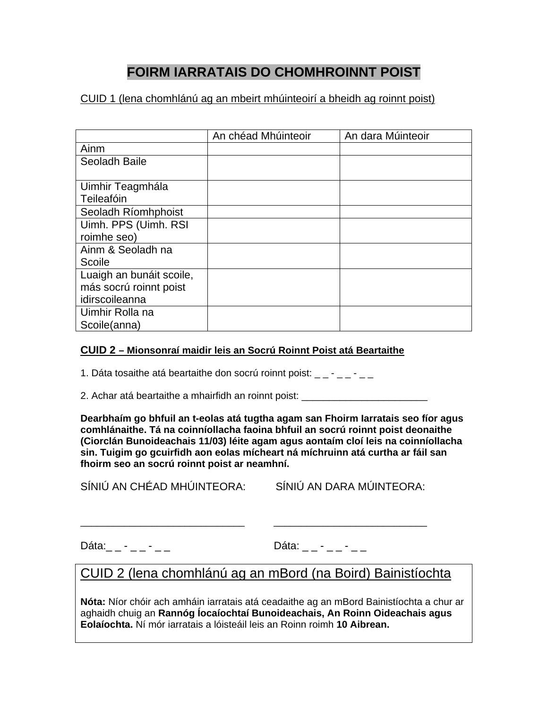### **FOIRM IARRATAIS DO CHOMHROINNT POIST**

#### CUID 1 (lena chomhlánú ag an mbeirt mhúinteoirí a bheidh ag roinnt poist)

|                          | An chéad Mhúinteoir | An dara Múinteoir |
|--------------------------|---------------------|-------------------|
| Ainm                     |                     |                   |
| Seoladh Baile            |                     |                   |
|                          |                     |                   |
| Uimhir Teagmhála         |                     |                   |
| Teileafóin               |                     |                   |
| Seoladh Ríomhphoist      |                     |                   |
| Uimh. PPS (Uimh. RSI     |                     |                   |
| roimhe seo)              |                     |                   |
| Ainm & Seoladh na        |                     |                   |
| Scoile                   |                     |                   |
| Luaigh an bunáit scoile, |                     |                   |
| más socrú roinnt poist   |                     |                   |
| idirscoileanna           |                     |                   |
| Uimhir Rolla na          |                     |                   |
| Scoile(anna)             |                     |                   |

#### **CUID 2 – Mionsonraí maidir leis an Socrú Roinnt Poist atá Beartaithe**

1. Dáta tosaithe atá beartaithe don socrú roinnt poist:  $\frac{1}{2} - \frac{1}{2} - \frac{1}{2}$ 

2. Achar atá beartaithe a mhairfidh an roinnt poist: \_\_\_\_\_\_\_\_\_\_\_\_\_\_\_\_\_\_\_\_\_\_\_\_\_\_\_

**Dearbhaím go bhfuil an t-eolas atá tugtha agam san Fhoirm Iarratais seo fíor agus comhlánaithe. Tá na coinníollacha faoina bhfuil an socrú roinnt poist deonaithe (Ciorclán Bunoideachais 11/03) léite agam agus aontaím cloí leis na coinníollacha sin. Tuigim go gcuirfidh aon eolas mícheart ná míchruinn atá curtha ar fáil san fhoirm seo an socrú roinnt poist ar neamhní.** 

SÍNIÚ AN CHÉAD MHÚINTEORA: SÍNIÚ AN DARA MÚINTEORA:

Dáta:\_ \_ - \_ \_ - \_ \_ \_ \_ \_ \_ \_ \_ \_ Dáta: \_ \_ - \_ \_ - \_ \_ \_

### CUID 2 (lena chomhlánú ag an mBord (na Boird) Bainistíochta

\_\_\_\_\_\_\_\_\_\_\_\_\_\_\_\_\_\_\_\_\_\_\_\_\_\_\_\_\_\_ \_\_\_\_\_\_\_\_\_\_\_\_\_\_\_\_\_\_\_\_\_\_\_\_\_\_\_\_

**Nóta:** Níor chóir ach amháin iarratais atá ceadaithe ag an mBord Bainistíochta a chur ar aghaidh chuig an **Rannóg Íocaíochtaí Bunoideachais, An Roinn Oideachais agus Eolaíochta.** Ní mór iarratais a lóisteáil leis an Roinn roimh **10 Aibrean.**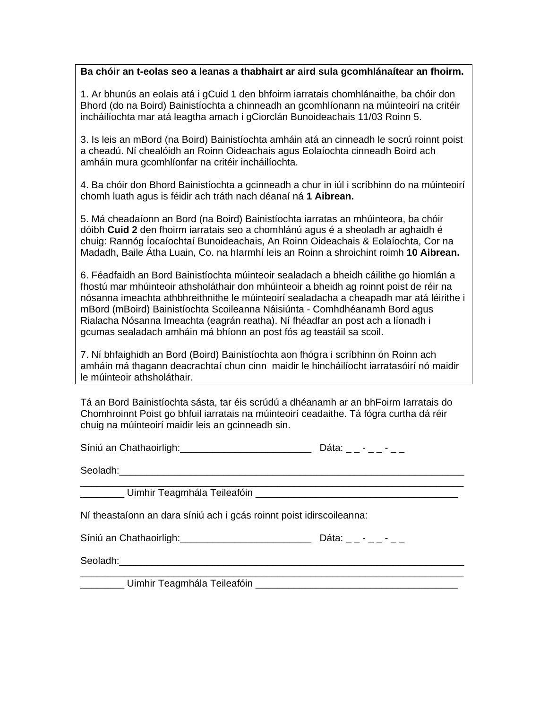#### **Ba chóir an t-eolas seo a leanas a thabhairt ar aird sula gcomhlánaítear an fhoirm.**

1. Ar bhunús an eolais atá i gCuid 1 den bhfoirm iarratais chomhlánaithe, ba chóir don Bhord (do na Boird) Bainistíochta a chinneadh an gcomhlíonann na múinteoirí na critéir incháilíochta mar atá leagtha amach i gCiorclán Bunoideachais 11/03 Roinn 5.

3. Is leis an mBord (na Boird) Bainistíochta amháin atá an cinneadh le socrú roinnt poist a cheadú. Ní chealóidh an Roinn Oideachais agus Eolaíochta cinneadh Boird ach amháin mura gcomhlíonfar na critéir incháilíochta.

4. Ba chóir don Bhord Bainistíochta a gcinneadh a chur in iúl i scríbhinn do na múinteoirí chomh luath agus is féidir ach tráth nach déanaí ná **1 Aibrean.** 

5. Má cheadaíonn an Bord (na Boird) Bainistíochta iarratas an mhúinteora, ba chóir dóibh **Cuid 2** den fhoirm iarratais seo a chomhlánú agus é a sheoladh ar aghaidh é chuig: Rannóg Íocaíochtaí Bunoideachais, An Roinn Oideachais & Eolaíochta, Cor na Madadh, Baile Átha Luain, Co. na hIarmhí leis an Roinn a shroichint roimh **10 Aibrean.**

6. Féadfaidh an Bord Bainistíochta múinteoir sealadach a bheidh cáilithe go hiomlán a fhostú mar mhúinteoir athsholáthair don mhúinteoir a bheidh ag roinnt poist de réir na nósanna imeachta athbhreithnithe le múinteoirí sealadacha a cheapadh mar atá léirithe i mBord (mBoird) Bainistíochta Scoileanna Náisiúnta - Comhdhéanamh Bord agus Rialacha Nósanna Imeachta (eagrán reatha). Ní fhéadfar an post ach a líonadh i gcumas sealadach amháin má bhíonn an post fós ag teastáil sa scoil.

7. Ní bhfaighidh an Bord (Boird) Bainistíochta aon fhógra i scríbhinn ón Roinn ach amháin má thagann deacrachtaí chun cinn maidir le hincháilíocht iarratasóirí nó maidir le múinteoir athsholáthair.

Tá an Bord Bainistíochta sásta, tar éis scrúdú a dhéanamh ar an bhFoirm Iarratais do Chomhroinnt Poist go bhfuil iarratais na múinteoirí ceadaithe. Tá fógra curtha dá réir chuig na múinteoirí maidir leis an gcinneadh sin.

| Síniú an Chathaoirligh:<br>Síniú an Chathaoirligh:                                    | Dáta: _ _ - _ _ - |
|---------------------------------------------------------------------------------------|-------------------|
|                                                                                       |                   |
| LANGILIZAT Umhir Teagmhála Teileafóin LANGILIZAT AGUS DEARTHAIREADH DEARTHAIREADH UGC |                   |
| Ní theastaíonn an dara síniú ach i gcás roinnt poist idirscoileanna:                  |                   |
|                                                                                       |                   |
|                                                                                       |                   |
|                                                                                       |                   |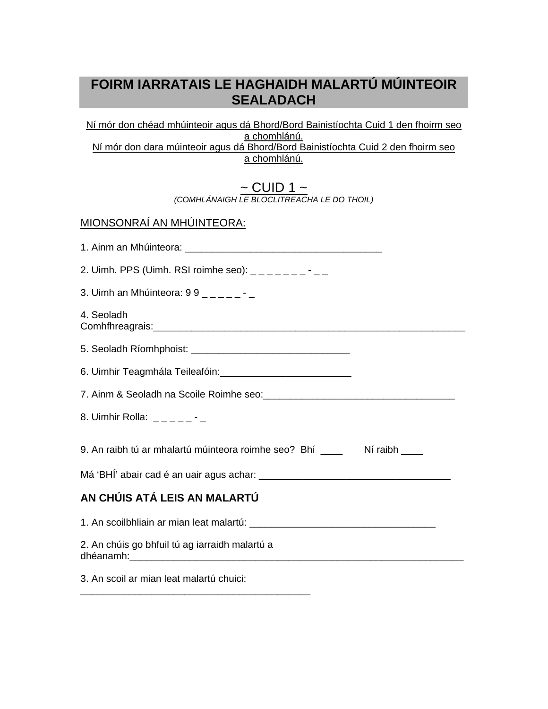### **FOIRM IARRATAIS LE HAGHAIDH MALARTÚ MÚINTEOIR SEALADACH**

Ní mór don chéad mhúinteoir agus dá Bhord/Bord Bainistíochta Cuid 1 den fhoirm seo a chomhlánú. Ní mór don dara múinteoir agus dá Bhord/Bord Bainistíochta Cuid 2 den fhoirm seo a chomhlánú.

> <u>~ CUID 1 ~</u> *(COMHLÁNAIGH LE BLOCLITREACHA LE DO THOIL)*

| <u>MIONSONRAÍ AN MHÚINTEORA:</u>                                                                                |
|-----------------------------------------------------------------------------------------------------------------|
|                                                                                                                 |
| 2. Uimh. PPS (Uimh. RSI roimhe seo): $\frac{1}{1}$                                                              |
| 3. Uimh an Mhúinteora: $99 - - - - -$                                                                           |
| 4. Seoladh                                                                                                      |
|                                                                                                                 |
|                                                                                                                 |
| 7. Ainm & Seoladh na Scoile Roimhe seo: 2008. [1] Press Paragona and Seolar Press, 2016. [1] Press, 2016. [1] P |
| 8. Uimhir Rolla: $_{---}$ - - - -                                                                               |
| 9. An raibh tú ar mhalartú múinteora roimhe seo? Bhí ____ Ní raibh ___                                          |
|                                                                                                                 |
| AN CHÚIS ATÁ LEIS AN MALARTÚ                                                                                    |
|                                                                                                                 |
| 2. An chúis go bhfuil tú ag iarraidh malartú a                                                                  |
| 3. An scoil ar mian leat malartú chuici:                                                                        |

\_\_\_\_\_\_\_\_\_\_\_\_\_\_\_\_\_\_\_\_\_\_\_\_\_\_\_\_\_\_\_\_\_\_\_\_\_\_\_\_\_\_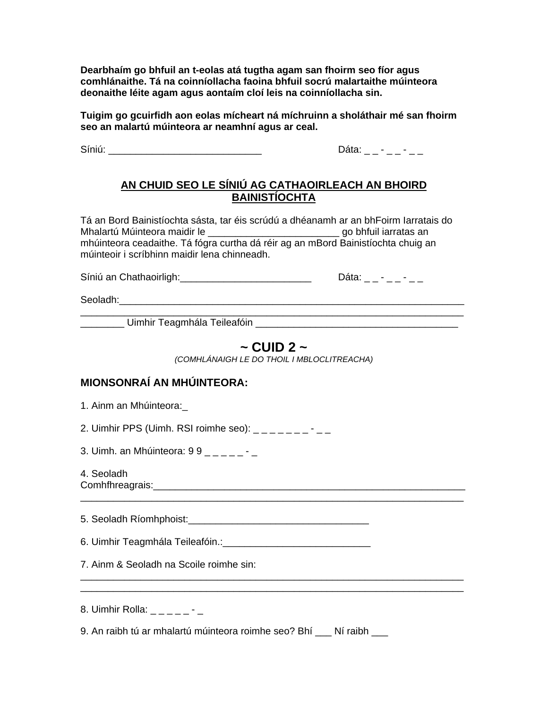**Dearbhaím go bhfuil an t-eolas atá tugtha agam san fhoirm seo fíor agus comhlánaithe. Tá na coinníollacha faoina bhfuil socrú malartaithe múinteora deonaithe léite agam agus aontaím cloí leis na coinníollacha sin.** 

**Tuigim go gcuirfidh aon eolas mícheart ná míchruinn a sholáthair mé san fhoirm seo an malartú múinteora ar neamhní agus ar ceal.** 

Síniú: \_\_\_\_\_\_\_\_\_\_\_\_\_\_\_\_\_\_\_\_\_\_\_\_\_\_\_\_ Dáta: \_ \_ - \_ \_ - \_ \_

#### **AN CHUID SEO LE SÍNIÚ AG CATHAOIRLEACH AN BHOIRD BAINISTÍOCHTA**

Tá an Bord Bainistíochta sásta, tar éis scrúdú a dhéanamh ar an bhFoirm Iarratais do Mhalartú Múinteora maidir le **\_\_\_\_\_\_\_\_\_\_\_\_\_\_\_\_\_\_\_\_\_\_\_\_\_\_\_** go bhfuil iarratas an mhúinteora ceadaithe. Tá fógra curtha dá réir ag an mBord Bainistíochta chuig an múinteoir i scríbhinn maidir lena chinneadh.

Síniú an Chathaoirligh: \_\_\_\_\_\_\_\_\_\_\_\_\_\_\_\_\_\_\_\_\_\_\_\_\_\_\_\_\_\_\_\_\_ Dáta: \_ \_ - \_ \_ - \_ \_

Seoladh: www.asia.com/watch?com/watch?com/watch?com/watch?com/watch?com/watch?com/watch?com/watch?com/watch?com/

\_\_\_\_\_\_\_\_\_\_\_\_\_\_\_\_\_\_\_\_\_\_\_\_\_\_\_\_\_\_\_\_\_\_\_\_\_\_\_\_\_\_\_\_\_\_\_\_\_\_\_\_\_\_\_\_\_\_\_\_\_\_\_\_\_\_\_\_\_\_ \_\_\_\_\_\_\_\_ Uimhir Teagmhála Teileafóin \_\_\_\_\_\_\_\_\_\_\_\_\_\_\_\_\_\_\_\_\_\_\_\_\_\_\_\_\_\_\_\_\_\_\_\_\_

#### **~ CUID 2 ~**

*(COMHLÁNAIGH LE DO THOIL I MBLOCLITREACHA)* 

\_\_\_\_\_\_\_\_\_\_\_\_\_\_\_\_\_\_\_\_\_\_\_\_\_\_\_\_\_\_\_\_\_\_\_\_\_\_\_\_\_\_\_\_\_\_\_\_\_\_\_\_\_\_\_\_\_\_\_\_\_\_\_\_\_\_\_\_\_\_

\_\_\_\_\_\_\_\_\_\_\_\_\_\_\_\_\_\_\_\_\_\_\_\_\_\_\_\_\_\_\_\_\_\_\_\_\_\_\_\_\_\_\_\_\_\_\_\_\_\_\_\_\_\_\_\_\_\_\_\_\_\_\_\_\_\_\_\_\_\_ \_\_\_\_\_\_\_\_\_\_\_\_\_\_\_\_\_\_\_\_\_\_\_\_\_\_\_\_\_\_\_\_\_\_\_\_\_\_\_\_\_\_\_\_\_\_\_\_\_\_\_\_\_\_\_\_\_\_\_\_\_\_\_\_\_\_\_\_\_\_

#### **MIONSONRAÍ AN MHÚINTEORA:**

1. Ainm an Mhúinteora:\_

2. Uimhir PPS (Uimh. RSI roimhe seo):  $\frac{1}{2}$   $\frac{1}{2}$   $\frac{1}{2}$   $\frac{1}{2}$   $\frac{1}{2}$   $\frac{1}{2}$ 

3. Uimh. an Mhúinteora: 9 9 \_ \_ \_ \_ \_ -

4. Seoladh Comhfhreagrais:\_\_\_\_\_\_\_\_\_\_\_\_\_\_\_\_\_\_\_\_\_\_\_\_\_\_\_\_\_\_\_\_\_\_\_\_\_\_\_\_\_\_\_\_\_\_\_\_\_\_\_\_\_\_\_\_\_

5. Seoladh Ríomhphoist: **Example 2018** 

6. Uimhir Teagmhála Teileafóin.:\_\_\_\_\_\_\_\_\_\_\_\_\_\_\_\_\_\_\_\_\_\_\_\_\_\_\_

7. Ainm & Seoladh na Scoile roimhe sin:

8. Uimhir Rolla:  $\frac{1}{2}$  \_ \_ \_ \_ - \_

9. An raibh tú ar mhalartú múinteora roimhe seo? Bhí Ní raibh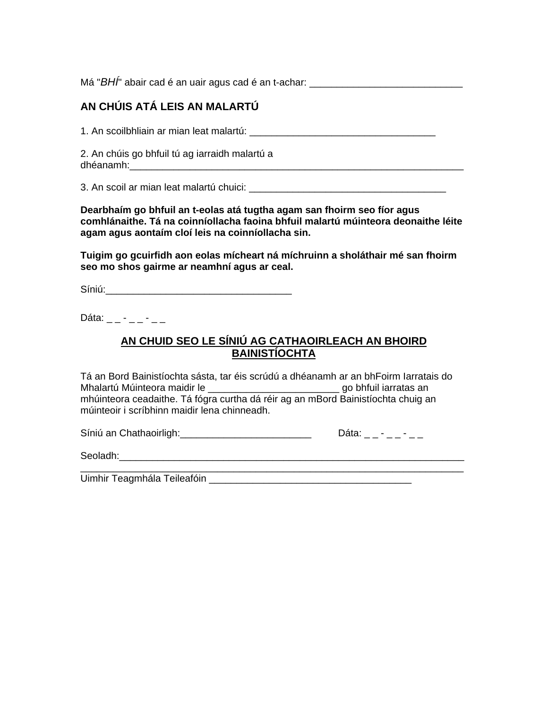Má "*BHÍ*" abair cad é an uair agus cad é an t-achar:

#### **AN CHÚIS ATÁ LEIS AN MALARTÚ**

1. An scoilbhliain ar mian leat malartú: \_\_\_\_\_\_\_\_\_\_\_\_\_\_\_\_\_\_\_\_\_\_\_\_\_\_\_\_\_\_\_\_\_\_

2. An chúis go bhfuil tú ag iarraidh malartú a dhéanamh:\_\_\_\_\_\_\_\_\_\_\_\_\_\_\_\_\_\_\_\_\_\_\_\_\_\_\_\_\_\_\_\_\_\_\_\_\_\_\_\_\_\_\_\_\_\_\_\_\_\_\_\_\_\_\_\_\_\_\_\_\_

3. An scoil ar mian leat malartú chuici:

**Dearbhaím go bhfuil an t-eolas atá tugtha agam san fhoirm seo fíor agus comhlánaithe. Tá na coinníollacha faoina bhfuil malartú múinteora deonaithe léite agam agus aontaím cloí leis na coinníollacha sin.** 

**Tuigim go gcuirfidh aon eolas mícheart ná míchruinn a sholáthair mé san fhoirm seo mo shos gairme ar neamhní agus ar ceal.** 

Síniú:\_\_\_\_\_\_\_\_\_\_\_\_\_\_\_\_\_\_\_\_\_\_\_\_\_\_\_\_\_\_\_\_\_\_

Dáta:  $- - - - - -$ 

#### **AN CHUID SEO LE SÍNIÚ AG CATHAOIRLEACH AN BHOIRD BAINISTÍOCHTA**

Tá an Bord Bainistíochta sásta, tar éis scrúdú a dhéanamh ar an bhFoirm Iarratais do Mhalartú Múinteora maidir le \_\_\_\_\_\_\_\_\_\_\_\_\_\_\_\_\_\_\_\_\_\_\_\_ go bhfuil iarratas an mhúinteora ceadaithe. Tá fógra curtha dá réir ag an mBord Bainistíochta chuig an múinteoir i scríbhinn maidir lena chinneadh.

Síniú an Chathaoirligh: \_\_\_\_\_\_\_\_\_\_\_\_\_\_\_\_\_\_\_\_\_\_\_\_\_\_\_\_\_\_\_\_\_ Dáta: \_ \_ - \_ \_ - \_ \_

Seoladh:\_\_\_\_\_\_\_\_\_\_\_\_\_\_\_\_\_\_\_\_\_\_\_\_\_\_\_\_\_\_\_\_\_\_\_\_\_\_\_\_\_\_\_\_\_\_\_\_\_\_\_\_\_\_\_\_\_\_\_\_\_\_\_

\_\_\_\_\_\_\_\_\_\_\_\_\_\_\_\_\_\_\_\_\_\_\_\_\_\_\_\_\_\_\_\_\_\_\_\_\_\_\_\_\_\_\_\_\_\_\_\_\_\_\_\_\_\_\_\_\_\_\_\_\_\_\_\_\_\_\_\_\_\_ Uimhir Teagmhála Teileafóin \_\_\_\_\_\_\_\_\_\_\_\_\_\_\_\_\_\_\_\_\_\_\_\_\_\_\_\_\_\_\_\_\_\_\_\_\_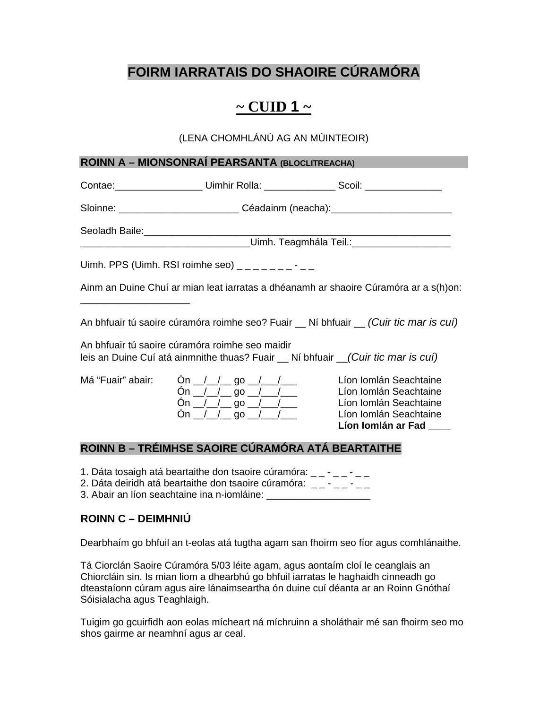### **FOIRM IARRATAIS DO SHAOIRE CÚRAMÓRA**

### $\sim$  CUID 1  $\sim$

#### (LENA CHOMHLÁNÚ AG AN MÚINTEOIR)

#### **ROINN A – MIONSONRAÍ PEARSANTA (BLOCLITREACHA)**

|                                                                                                                                       |                                                                                                                                                                                     |                                                   | Contae: _______________________ Uimhir Rolla: _____________________ Scoil: ________________________                             |
|---------------------------------------------------------------------------------------------------------------------------------------|-------------------------------------------------------------------------------------------------------------------------------------------------------------------------------------|---------------------------------------------------|---------------------------------------------------------------------------------------------------------------------------------|
|                                                                                                                                       |                                                                                                                                                                                     |                                                   | Sloinne: ______________________________Céadainm (neacha):_______________________                                                |
|                                                                                                                                       |                                                                                                                                                                                     |                                                   | _____________________Uimh. Teagmhála Teil.:_____________________                                                                |
| Uimh. PPS (Uimh. RSI roimhe seo) $\frac{1}{2}$ = $\frac{1}{2}$ = $\frac{1}{2}$ = $\frac{1}{2}$ = $\frac{1}{2}$                        |                                                                                                                                                                                     |                                                   |                                                                                                                                 |
|                                                                                                                                       |                                                                                                                                                                                     |                                                   | Ainm an Duine Chuí ar mian leat iarratas a dhéanamh ar shaoire Cúramóra ar a s(h)on:                                            |
|                                                                                                                                       |                                                                                                                                                                                     |                                                   | An bhfuair tú saoire cúramóra roimhe seo? Fuair _ Ní bhfuair _ (Cuir tic mar is cuí)                                            |
| An bhfuair tú saoire cúramóra roimhe seo maidir<br>leis an Duine Cuí atá ainmnithe thuas? Fuair __ Ní bhfuair __(Cuir tic mar is cuí) |                                                                                                                                                                                     |                                                   |                                                                                                                                 |
| Má "Fuair" abair:                                                                                                                     | On $\angle$ / $\angle$ go $\angle$ / $\angle$<br>On $\angle$ $\angle$ $\angle$ go $\angle$ $\angle$<br>On $\angle$ / go $\angle$ / $\angle$<br>On $\angle$ / go $\angle$ / $\angle$ |                                                   | Líon Iomlán Seachtaine<br>Líon Iomlán Seachtaine<br>Líon Iomlán Seachtaine<br>Líon Iomlán Seachtaine<br>Líon Iomlán ar Fad ____ |
|                                                                                                                                       |                                                                                                                                                                                     | ROINN B – TRÉIMHSE SAOIRE CÚRAMÓRA ATÁ BEARTAITHE |                                                                                                                                 |

- 1. Dáta tosaigh atá beartaithe don tsaoire cúramóra:  $\frac{1}{2} \frac{1}{2} \frac{1}{2}$
- 2. Dáta deiridh atá beartaithe don tsaoire cúramóra:  $\frac{1}{2} \frac{1}{2} \frac{1}{2}$
- 3. Abair an líon seachtaine ina n-iomláine: \_\_\_\_\_\_\_\_\_\_\_\_\_\_\_\_\_\_\_

### **ROINN C – DEIMHNIÚ**

Dearbhaím go bhfuil an t-eolas atá tugtha agam san fhoirm seo fíor agus comhlánaithe.

Tá Ciorclán Saoire Cúramóra 5/03 léite agam, agus aontaím cloí le ceanglais an Chiorcláin sin. Is mian liom a dhearbhú go bhfuil iarratas le haghaidh cinneadh go dteastaíonn cúram agus aire lánaimseartha ón duine cuí déanta ar an Roinn Gnóthaí Sóisialacha agus Teaghlaigh.

Tuigim go gcuirfidh aon eolas mícheart ná míchruinn a sholáthair mé san fhoirm seo mo shos gairme ar neamhní agus ar ceal.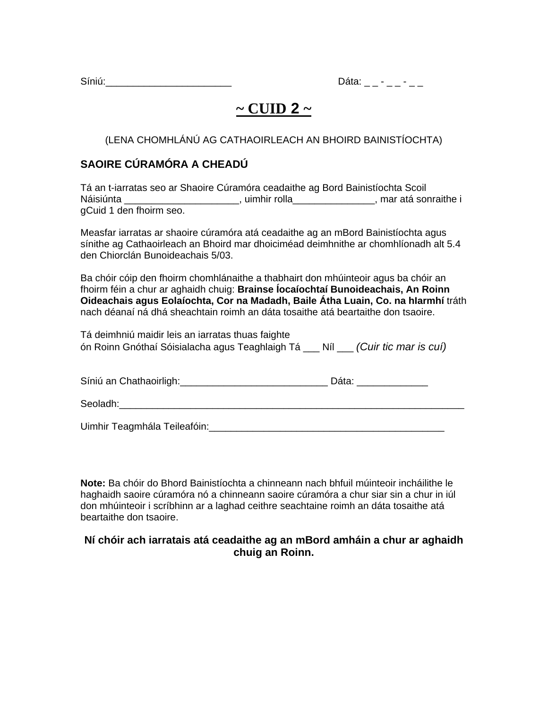Síniú:\_\_\_\_\_\_\_\_\_\_\_\_\_\_\_\_\_\_\_\_\_\_\_ Dáta: \_ \_ - \_ \_ - \_ \_

### $\sim$  CUID 2  $\sim$

(LENA CHOMHLÁNÚ AG CATHAOIRLEACH AN BHOIRD BAINISTÍOCHTA)

### **SAOIRE CÚRAMÓRA A CHEADÚ**

|                         | Tá an t-iarratas seo ar Shaoire Cúramóra ceadaithe ag Bord Bainistíochta Scoil |                       |
|-------------------------|--------------------------------------------------------------------------------|-----------------------|
| Náisiúnta               | . uimhir rolla                                                                 | , mar atá sonraithe i |
| gCuid 1 den fhoirm seo. |                                                                                |                       |

Measfar iarratas ar shaoire cúramóra atá ceadaithe ag an mBord Bainistíochta agus sínithe ag Cathaoirleach an Bhoird mar dhoiciméad deimhnithe ar chomhlíonadh alt 5.4 den Chiorclán Bunoideachais 5/03.

Ba chóir cóip den fhoirm chomhlánaithe a thabhairt don mhúinteoir agus ba chóir an fhoirm féin a chur ar aghaidh chuig: **Brainse Íocaíochtaí Bunoideachais, An Roinn Oideachais agus Eolaíochta, Cor na Madadh, Baile Átha Luain, Co. na hIarmhí** tráth nach déanaí ná dhá sheachtain roimh an dáta tosaithe atá beartaithe don tsaoire.

| Tá deimhniú maidir leis an iarratas thuas faighte                               |  |
|---------------------------------------------------------------------------------|--|
| ón Roinn Gnóthaí Sóisialacha agus Teaghlaigh Tá __ Níl __ (Cuir tic mar is cuí) |  |

| Síniú an Chathaoirligh: | Dáta. |
|-------------------------|-------|
|-------------------------|-------|

Uimhir Teagmhála Teileafóin:\_\_\_\_\_\_\_\_\_\_\_\_\_\_\_\_\_\_\_\_\_\_\_\_\_\_\_\_\_\_\_\_\_\_\_\_\_\_\_\_\_\_\_

**Note:** Ba chóir do Bhord Bainistíochta a chinneann nach bhfuil múinteoir incháilithe le haghaidh saoire cúramóra nó a chinneann saoire cúramóra a chur siar sin a chur in iúl don mhúinteoir i scríbhinn ar a laghad ceithre seachtaine roimh an dáta tosaithe atá beartaithe don tsaoire.

#### **Ní chóir ach iarratais atá ceadaithe ag an mBord amháin a chur ar aghaidh chuig an Roinn.**